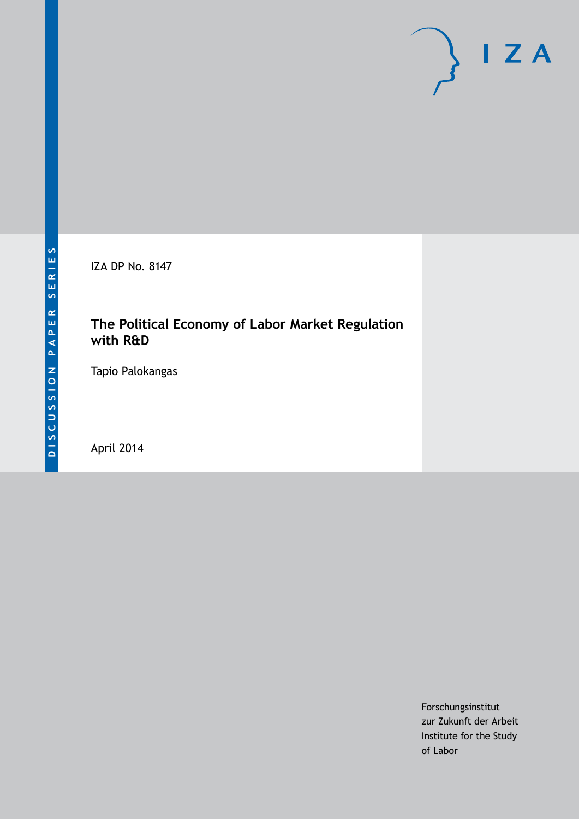IZA DP No. 8147

## **The Political Economy of Labor Market Regulation with R&D**

Tapio Palokangas

April 2014

Forschungsinstitut zur Zukunft der Arbeit Institute for the Study of Labor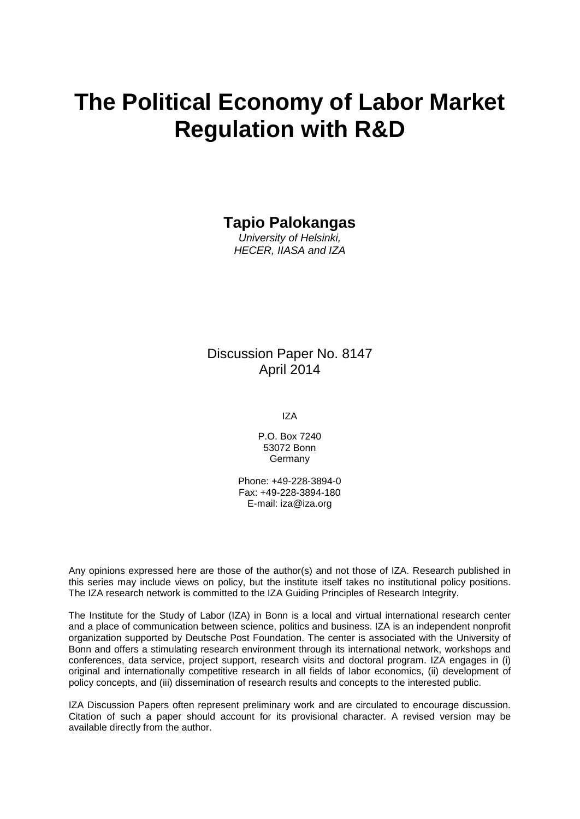# **The Political Economy of Labor Market Regulation with R&D**

## **Tapio Palokangas**

*University of Helsinki, HECER, IIASA and IZA*

### Discussion Paper No. 8147 April 2014

IZA

P.O. Box 7240 53072 Bonn Germany

Phone: +49-228-3894-0 Fax: +49-228-3894-180 E-mail: [iza@iza.org](mailto:iza@iza.org)

Any opinions expressed here are those of the author(s) and not those of IZA. Research published in this series may include views on policy, but the institute itself takes no institutional policy positions. The IZA research network is committed to the IZA Guiding Principles of Research Integrity.

The Institute for the Study of Labor (IZA) in Bonn is a local and virtual international research center and a place of communication between science, politics and business. IZA is an independent nonprofit organization supported by Deutsche Post Foundation. The center is associated with the University of Bonn and offers a stimulating research environment through its international network, workshops and conferences, data service, project support, research visits and doctoral program. IZA engages in (i) original and internationally competitive research in all fields of labor economics, (ii) development of policy concepts, and (iii) dissemination of research results and concepts to the interested public.

<span id="page-1-0"></span>IZA Discussion Papers often represent preliminary work and are circulated to encourage discussion. Citation of such a paper should account for its provisional character. A revised version may be available directly from the author.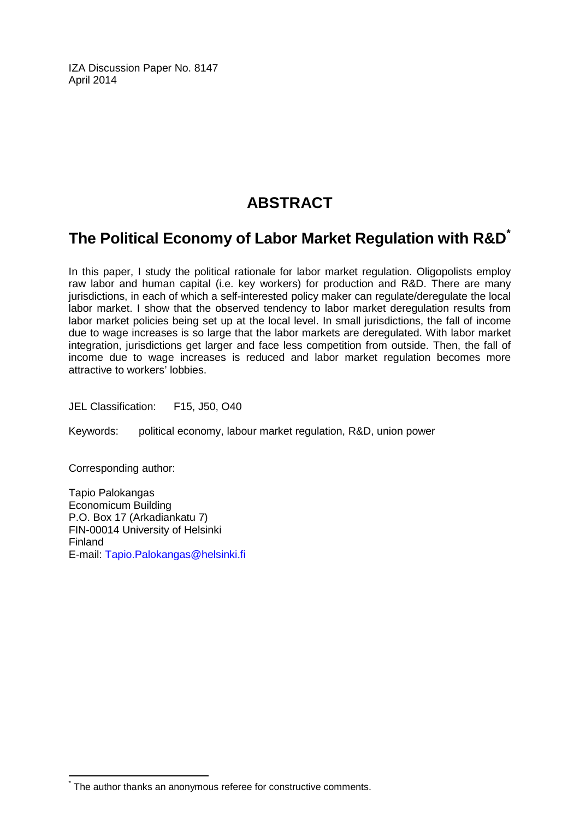IZA Discussion Paper No. 8147 April 2014

## **ABSTRACT**

## **The Political Economy of Labor Market Regulation with R&D[\\*](#page-1-0)**

In this paper, I study the political rationale for labor market regulation. Oligopolists employ raw labor and human capital (i.e. key workers) for production and R&D. There are many jurisdictions, in each of which a self-interested policy maker can regulate/deregulate the local labor market. I show that the observed tendency to labor market deregulation results from labor market policies being set up at the local level. In small jurisdictions, the fall of income due to wage increases is so large that the labor markets are deregulated. With labor market integration, jurisdictions get larger and face less competition from outside. Then, the fall of income due to wage increases is reduced and labor market regulation becomes more attractive to workers' lobbies.

JEL Classification: F15, J50, O40

Keywords: political economy, labour market regulation, R&D, union power

Corresponding author:

Tapio Palokangas Economicum Building P.O. Box 17 (Arkadiankatu 7) FIN-00014 University of Helsinki Finland E-mail: [Tapio.Palokangas@helsinki.fi](mailto:Tapio.Palokangas@helsinki.fi)

The author thanks an anonymous referee for constructive comments.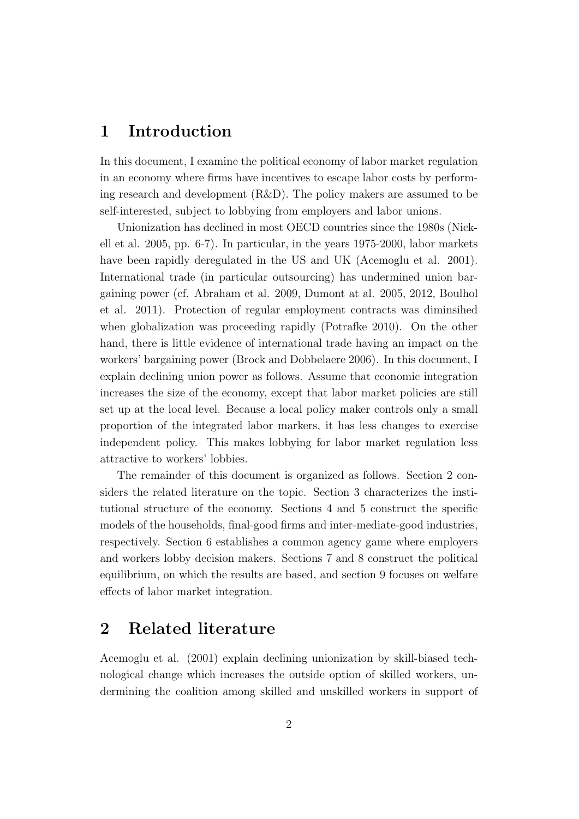## **1 Introduction**

In this document, I examine the political economy of labor market regulation in an economy where firms have incentives to escape labor costs by performing research and development (R&D). The policy makers are assumed to be self-interested, subject to lobbying from employers and labor unions.

Unionization has declined in most OECD countries since the 1980s (Nickell et al. 2005, pp. 6-7). In particular, in the years 1975-2000, labor markets have been rapidly deregulated in the US and UK (Acemoglu et al. 2001). International trade (in particular outsourcing) has undermined union bargaining power (cf. Abraham et al. 2009, Dumont at al. 2005, 2012, Boulhol et al. 2011). Protection of regular employment contracts was diminsihed when globalization was proceeding rapidly (Potrafke 2010). On the other hand, there is little evidence of international trade having an impact on the workers' bargaining power (Brock and Dobbelaere 2006). In this document, I explain declining union power as follows. Assume that economic integration increases the size of the economy, except that labor market policies are still set up at the local level. Because a local policy maker controls only a small proportion of the integrated labor markers, it has less changes to exercise independent policy. This makes lobbying for labor market regulation less attractive to workers' lobbies.

The remainder of this document is organized as follows. Section 2 considers the related literature on the topic. Section 3 characterizes the institutional structure of the economy. Sections 4 and 5 construct the specific models of the households, final-good firms and inter-mediate-good industries, respectively. Section 6 establishes a common agency game where employers and workers lobby decision makers. Sections 7 and 8 construct the political equilibrium, on which the results are based, and section 9 focuses on welfare effects of labor market integration.

## **2 Related literature**

Acemoglu et al. (2001) explain declining unionization by skill-biased technological change which increases the outside option of skilled workers, undermining the coalition among skilled and unskilled workers in support of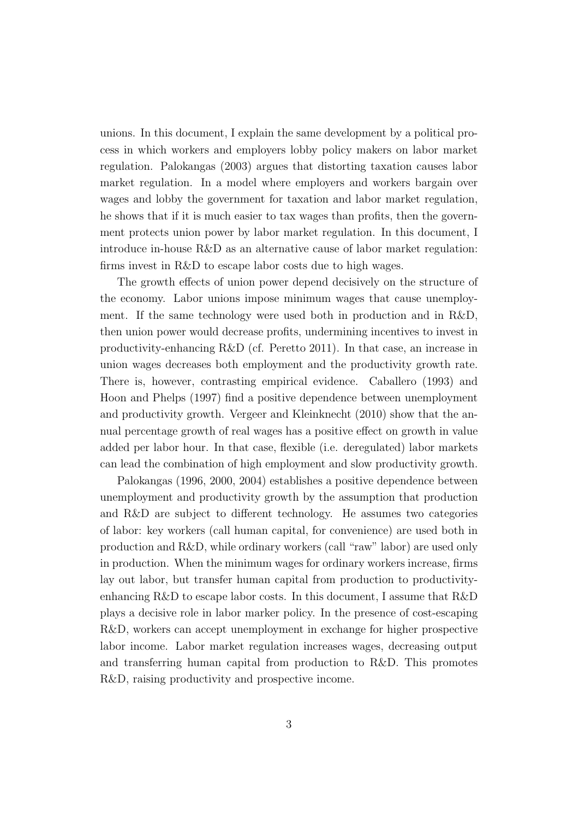unions. In this document, I explain the same development by a political process in which workers and employers lobby policy makers on labor market regulation. Palokangas (2003) argues that distorting taxation causes labor market regulation. In a model where employers and workers bargain over wages and lobby the government for taxation and labor market regulation, he shows that if it is much easier to tax wages than profits, then the government protects union power by labor market regulation. In this document, I introduce in-house R&D as an alternative cause of labor market regulation: firms invest in R&D to escape labor costs due to high wages.

The growth effects of union power depend decisively on the structure of the economy. Labor unions impose minimum wages that cause unemployment. If the same technology were used both in production and in R&D, then union power would decrease profits, undermining incentives to invest in productivity-enhancing R&D (cf. Peretto 2011). In that case, an increase in union wages decreases both employment and the productivity growth rate. There is, however, contrasting empirical evidence. Caballero (1993) and Hoon and Phelps (1997) find a positive dependence between unemployment and productivity growth. Vergeer and Kleinknecht (2010) show that the annual percentage growth of real wages has a positive effect on growth in value added per labor hour. In that case, flexible (i.e. deregulated) labor markets can lead the combination of high employment and slow productivity growth.

Palokangas (1996, 2000, 2004) establishes a positive dependence between unemployment and productivity growth by the assumption that production and R&D are subject to different technology. He assumes two categories of labor: key workers (call human capital, for convenience) are used both in production and R&D, while ordinary workers (call "raw" labor) are used only in production. When the minimum wages for ordinary workers increase, firms lay out labor, but transfer human capital from production to productivityenhancing R&D to escape labor costs. In this document, I assume that R&D plays a decisive role in labor marker policy. In the presence of cost-escaping R&D, workers can accept unemployment in exchange for higher prospective labor income. Labor market regulation increases wages, decreasing output and transferring human capital from production to R&D. This promotes R&D, raising productivity and prospective income.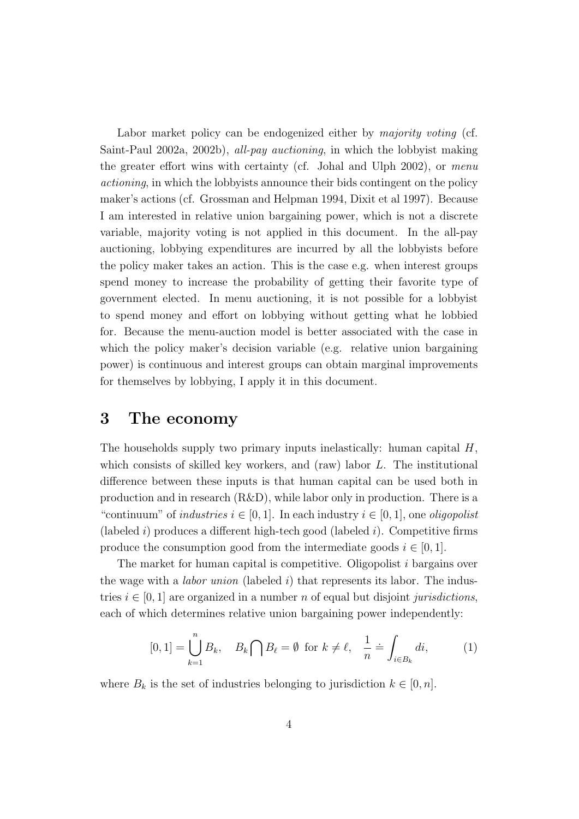Labor market policy can be endogenized either by *majority voting* (cf. Saint-Paul 2002a, 2002b), *all-pay auctioning*, in which the lobbyist making the greater effort wins with certainty (cf. Johal and Ulph 2002), or *menu actioning*, in which the lobbyists announce their bids contingent on the policy maker's actions (cf. Grossman and Helpman 1994, Dixit et al 1997). Because I am interested in relative union bargaining power, which is not a discrete variable, majority voting is not applied in this document. In the all-pay auctioning, lobbying expenditures are incurred by all the lobbyists before the policy maker takes an action. This is the case e.g. when interest groups spend money to increase the probability of getting their favorite type of government elected. In menu auctioning, it is not possible for a lobbyist to spend money and effort on lobbying without getting what he lobbied for. Because the menu-auction model is better associated with the case in which the policy maker's decision variable (e.g. relative union bargaining power) is continuous and interest groups can obtain marginal improvements for themselves by lobbying, I apply it in this document.

### **3 The economy**

The households supply two primary inputs inelastically: human capital *H*, which consists of skilled key workers, and (raw) labor *L*. The institutional difference between these inputs is that human capital can be used both in production and in research (R&D), while labor only in production. There is a "continuum" of *industries*  $i \in [0, 1]$ . In each industry  $i \in [0, 1]$ , one *oligopolist* (labeled *i*) produces a different high-tech good (labeled *i*). Competitive firms produce the consumption good from the intermediate goods  $i \in [0, 1]$ .

The market for human capital is competitive. Oligopolist *i* bargains over the wage with a *labor union* (labeled *i*) that represents its labor. The industries  $i \in [0, 1]$  are organized in a number *n* of equal but disjoint *jurisdictions*, each of which determines relative union bargaining power independently:

$$
[0,1] = \bigcup_{k=1}^{n} B_k, \quad B_k \bigcap B_{\ell} = \emptyset \text{ for } k \neq \ell, \quad \frac{1}{n} \doteq \int_{i \in B_k} di,
$$
 (1)

where  $B_k$  is the set of industries belonging to jurisdiction  $k \in [0, n]$ .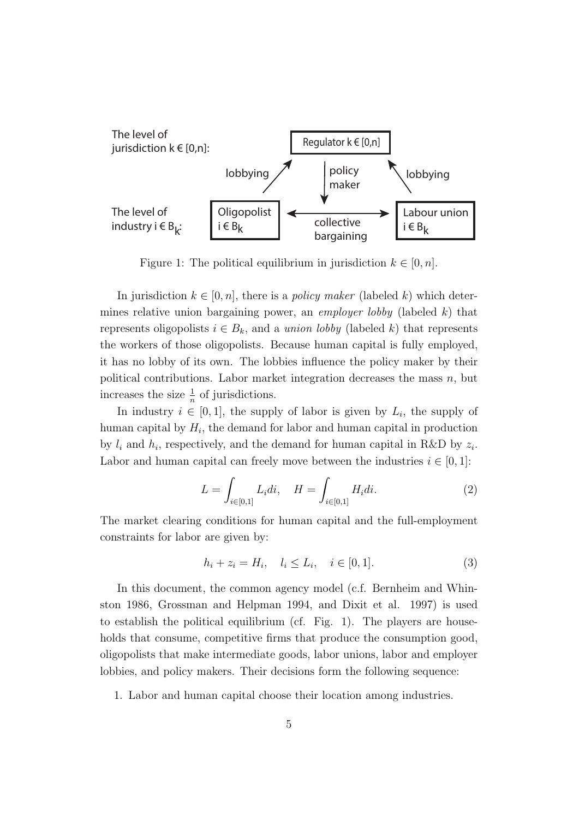

Figure 1: The political equilibrium in jurisdiction  $k \in [0, n]$ .

In jurisdiction  $k \in [0, n]$ , there is a *policy maker* (labeled k) which determines relative union bargaining power, an *employer lobby* (labeled *k*) that represents oligopolists  $i \in B_k$ , and a *union lobby* (labeled k) that represents the workers of those oligopolists. Because human capital is fully employed, it has no lobby of its own. The lobbies influence the policy maker by their political contributions. Labor market integration decreases the mass *n*, but increases the size  $\frac{1}{n}$  of jurisdictions.

In industry  $i \in [0, 1]$ , the supply of labor is given by  $L_i$ , the supply of human capital by  $H_i$ , the demand for labor and human capital in production by  $l_i$  and  $h_i$ , respectively, and the demand for human capital in R&D by  $z_i$ . Labor and human capital can freely move between the industries  $i \in [0,1]$ :

$$
L = \int_{i \in [0,1]} L_i di, \quad H = \int_{i \in [0,1]} H_i di.
$$
 (2)

The market clearing conditions for human capital and the full-employment constraints for labor are given by:

$$
h_i + z_i = H_i, \quad l_i \le L_i, \quad i \in [0, 1]. \tag{3}
$$

In this document, the common agency model (c.f. Bernheim and Whinston 1986, Grossman and Helpman 1994, and Dixit et al. 1997) is used to establish the political equilibrium (cf. Fig. 1). The players are households that consume, competitive firms that produce the consumption good, oligopolists that make intermediate goods, labor unions, labor and employer lobbies, and policy makers. Their decisions form the following sequence:

1. Labor and human capital choose their location among industries.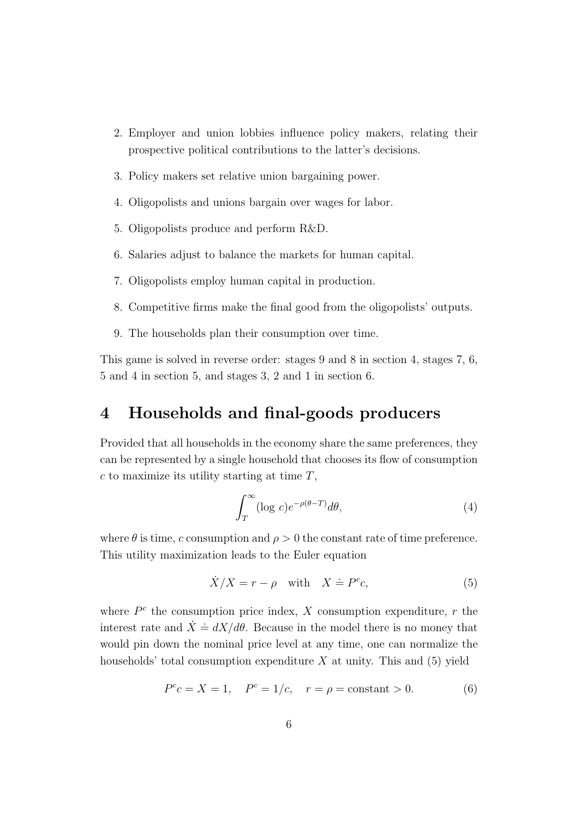- 2. Employer and union lobbies influence policy makers, relating their prospective political contributions to the latter's decisions.
- 3. Policy makers set relative union bargaining power.
- 4. Oligopolists and unions bargain over wages for labor.
- 5. Oligopolists produce and perform R&D.
- 6. Salaries adjust to balance the markets for human capital.
- 7. Oligopolists employ human capital in production.
- 8. Competitive firms make the final good from the oligopolists' outputs.
- 9. The households plan their consumption over time.

This game is solved in reverse order: stages 9 and 8 in section 4, stages 7, 6, 5 and 4 in section 5, and stages 3, 2 and 1 in section 6.

## **4 Households and final-goods producers**

Provided that all households in the economy share the same preferences, they can be represented by a single household that chooses its flow of consumption *c* to maximize its utility starting at time *T*,

$$
\int_{T}^{\infty} (\log c) e^{-\rho(\theta - T)} d\theta,
$$
\n(4)

where  $\theta$  is time, *c* consumption and  $\rho > 0$  the constant rate of time preference. This utility maximization leads to the Euler equation

$$
\dot{X}/X = r - \rho \quad \text{with} \quad X \doteq P^c c,\tag{5}
$$

where  $P^c$  the consumption price index,  $X$  consumption expenditure,  $r$  the interest rate and  $\dot{X} = dX/d\theta$ . Because in the model there is no money that would pin down the nominal price level at any time, one can normalize the households' total consumption expenditure *X* at unity. This and (5) yield

$$
P^{c}c = X = 1
$$
,  $P^{c} = 1/c$ ,  $r = \rho = \text{constant} > 0$ . (6)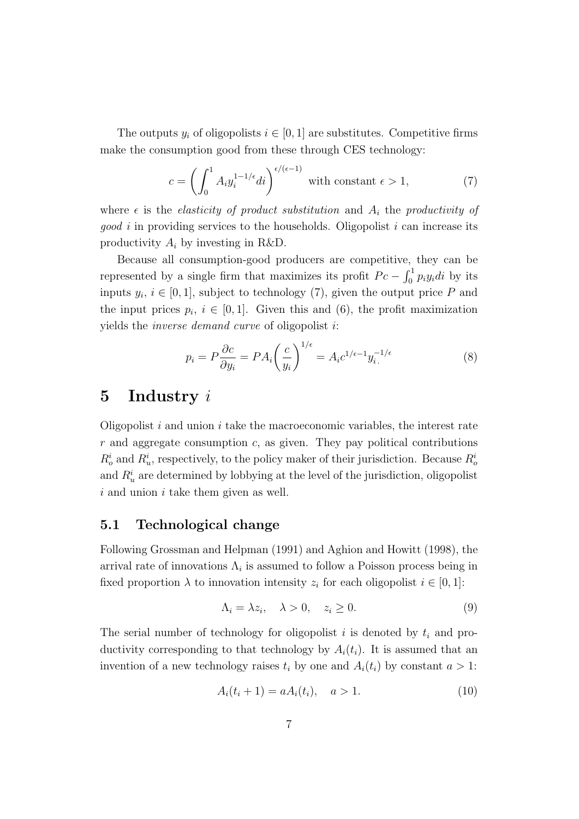The outputs  $y_i$  of oligopolists  $i \in [0, 1]$  are substitutes. Competitive firms make the consumption good from these through CES technology:

$$
c = \left(\int_0^1 A_i y_i^{1-1/\epsilon} di\right)^{\epsilon/(\epsilon-1)}
$$
 with constant  $\epsilon > 1$ , (7)

where  $\epsilon$  is the *elasticity of product substitution* and  $A_i$  the *productivity of good i* in providing services to the households. Oligopolist *i* can increase its productivity *A<sup>i</sup>* by investing in R&D.

Because all consumption-good producers are competitive, they can be represented by a single firm that maximizes its profit  $P_c - \int_0^1 p_i y_i di$  by its inputs  $y_i, i \in [0,1]$ , subject to technology (7), given the output price P and the input prices  $p_i$ ,  $i \in [0,1]$ . Given this and (6), the profit maximization yields the *inverse demand curve* of oligopolist *i*:

$$
p_i = P \frac{\partial c}{\partial y_i} = P A_i \left(\frac{c}{y_i}\right)^{1/\epsilon} = A_i c^{1/\epsilon - 1} y_i^{-1/\epsilon} \tag{8}
$$

## **5 Industry** *i*

Oligopolist *i* and union *i* take the macroeconomic variables, the interest rate *r* and aggregate consumption *c*, as given. They pay political contributions  $R_o^i$  and  $R_u^i$ , respectively, to the policy maker of their jurisdiction. Because  $R_o^i$ and  $R_u^i$  are determined by lobbying at the level of the jurisdiction, oligopolist *i* and union *i* take them given as well.

#### **5.1 Technological change**

Following Grossman and Helpman (1991) and Aghion and Howitt (1998), the arrival rate of innovations  $\Lambda_i$  is assumed to follow a Poisson process being in fixed proportion  $\lambda$  to innovation intensity  $z_i$  for each oligopolist  $i \in [0,1]$ :

$$
\Lambda_i = \lambda z_i, \quad \lambda > 0, \quad z_i \ge 0. \tag{9}
$$

The serial number of technology for oligopolist *i* is denoted by *t<sup>i</sup>* and productivity corresponding to that technology by  $A_i(t_i)$ . It is assumed that an invention of a new technology raises  $t_i$  by one and  $A_i(t_i)$  by constant  $a > 1$ :

$$
A_i(t_i + 1) = aA_i(t_i), \quad a > 1.
$$
 (10)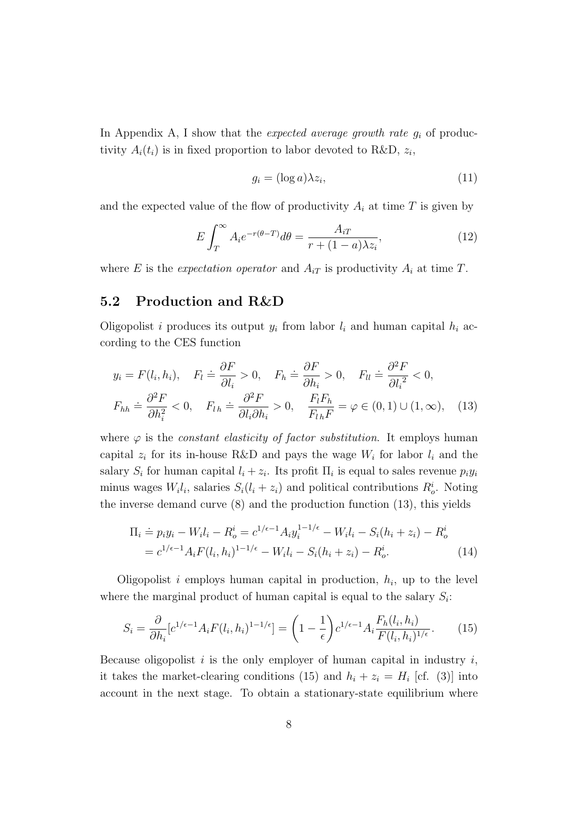In Appendix A, I show that the *expected average growth rate g<sup>i</sup>* of productivity  $A_i(t_i)$  is in fixed proportion to labor devoted to R&D,  $z_i$ ,

$$
g_i = (\log a) \lambda z_i,\tag{11}
$$

and the expected value of the flow of productivity  $A_i$  at time  $T$  is given by

$$
E \int_{T}^{\infty} A_i e^{-r(\theta - T)} d\theta = \frac{A_{iT}}{r + (1 - a)\lambda z_i},
$$
\n(12)

where *E* is the *expectation operator* and  $A_{iT}$  is productivity  $A_i$  at time *T*.

#### **5.2 Production and R&D**

Oligopolist *i* produces its output  $y_i$  from labor  $l_i$  and human capital  $h_i$  according to the CES function

$$
y_i = F(l_i, h_i), \quad F_l \doteq \frac{\partial F}{\partial l_i} > 0, \quad F_h \doteq \frac{\partial F}{\partial h_i} > 0, \quad F_{ll} \doteq \frac{\partial^2 F}{\partial l_i^2} < 0,
$$

$$
F_{hh} \doteq \frac{\partial^2 F}{\partial h_i^2} < 0, \quad F_{lh} \doteq \frac{\partial^2 F}{\partial l_i \partial h_i} > 0, \quad \frac{F_l F_h}{F_{lh} F} = \varphi \in (0, 1) \cup (1, \infty), \quad (13)
$$

where  $\varphi$  is the *constant elasticity of factor substitution*. It employs human capital  $z_i$  for its in-house R&D and pays the wage  $W_i$  for labor  $l_i$  and the salary  $S_i$  for human capital  $l_i + z_i$ . Its profit  $\Pi_i$  is equal to sales revenue  $p_i y_i$ minus wages  $W_i l_i$ , salaries  $S_i(l_i + z_i)$  and political contributions  $R_o^i$ . Noting the inverse demand curve (8) and the production function (13), this yields

$$
\Pi_i \doteq p_i y_i - W_i l_i - R_o^i = c^{1/\epsilon - 1} A_i y_i^{1 - 1/\epsilon} - W_i l_i - S_i (h_i + z_i) - R_o^i
$$
  
=  $c^{1/\epsilon - 1} A_i F(l_i, h_i)^{1 - 1/\epsilon} - W_i l_i - S_i (h_i + z_i) - R_o^i.$  (14)

Oligopolist  $i$  employs human capital in production,  $h_i$ , up to the level where the marginal product of human capital is equal to the salary  $S_i$ :

$$
S_i = \frac{\partial}{\partial h_i} [c^{1/\epsilon - 1} A_i F(l_i, h_i)^{1 - 1/\epsilon}] = \left(1 - \frac{1}{\epsilon}\right) c^{1/\epsilon - 1} A_i \frac{F_h(l_i, h_i)}{F(l_i, h_i)^{1/\epsilon}}.\tag{15}
$$

Because oligopolist *i* is the only employer of human capital in industry *i*, it takes the market-clearing conditions (15) and  $h_i + z_i = H_i$  [cf. (3)] into account in the next stage. To obtain a stationary-state equilibrium where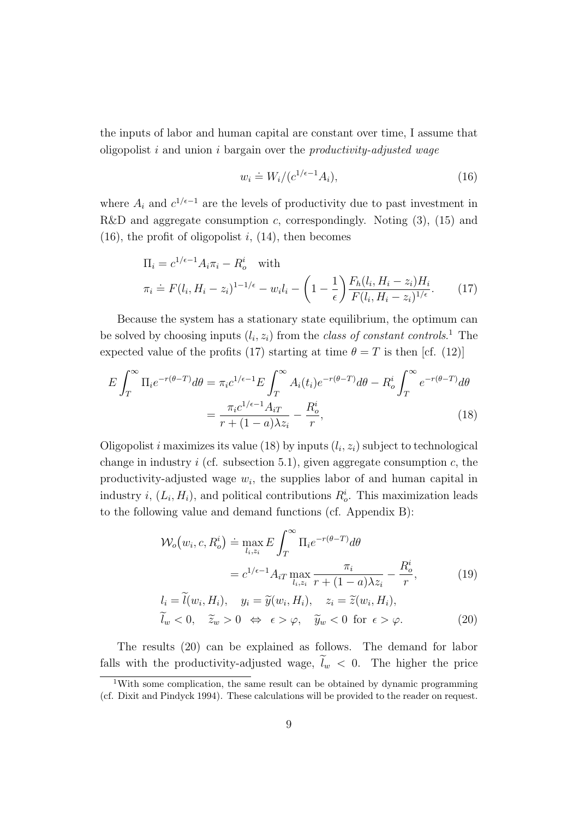the inputs of labor and human capital are constant over time, I assume that oligopolist *i* and union *i* bargain over the *productivity-adjusted wage*

$$
w_i \doteq W_i / (c^{1/\epsilon - 1} A_i),\tag{16}
$$

where  $A_i$  and  $c^{1/\epsilon-1}$  are the levels of productivity due to past investment in R&D and aggregate consumption *c*, correspondingly. Noting (3), (15) and  $(16)$ , the profit of oligopolist *i*,  $(14)$ , then becomes

$$
\Pi_i = c^{1/\epsilon - 1} A_i \pi_i - R_o^i \quad \text{with}
$$
\n
$$
\pi_i \doteq F(l_i, H_i - z_i)^{1 - 1/\epsilon} - w_i l_i - \left(1 - \frac{1}{\epsilon}\right) \frac{F_h(l_i, H_i - z_i) H_i}{F(l_i, H_i - z_i)^{1/\epsilon}}.
$$
\n(17)

Because the system has a stationary state equilibrium, the optimum can be solved by choosing inputs  $(l_i, z_i)$  from the *class of constant controls*.<sup>1</sup> The expected value of the profits (17) starting at time  $\theta = T$  is then [cf. (12)]

$$
E \int_{T}^{\infty} \Pi_{i} e^{-r(\theta - T)} d\theta = \pi_{i} c^{1/\epsilon - 1} E \int_{T}^{\infty} A_{i}(t_{i}) e^{-r(\theta - T)} d\theta - R_{o}^{i} \int_{T}^{\infty} e^{-r(\theta - T)} d\theta
$$

$$
= \frac{\pi_{i} c^{1/\epsilon - 1} A_{iT}}{r + (1 - a)\lambda z_{i}} - \frac{R_{o}^{i}}{r},
$$
(18)

Oligopolist *i* maximizes its value (18) by inputs  $(l_i, z_i)$  subject to technological change in industry  $i$  (cf. subsection 5.1), given aggregate consumption  $c$ , the productivity-adjusted wage *w<sup>i</sup>* , the supplies labor of and human capital in industry *i*,  $(L_i, H_i)$ , and political contributions  $R_o^i$ . This maximization leads to the following value and demand functions (cf. Appendix B):

$$
\mathcal{W}_o(w_i, c, R_o^i) \doteq \max_{l_i, z_i} E \int_T^{\infty} \Pi_i e^{-r(\theta - T)} d\theta
$$
  

$$
= c^{1/\epsilon - 1} A_{iT} \max_{l_i, z_i} \frac{\pi_i}{r + (1 - a)\lambda z_i} - \frac{R_o^i}{r},
$$
  

$$
l_i = \tilde{l}(w_i, H_i), \quad y_i = \tilde{y}(w_i, H_i), \quad z_i = \tilde{z}(w_i, H_i),
$$
 (19)

$$
\widetilde{l}_w < 0, \quad \widetilde{z}_w > 0 \iff \epsilon > \varphi, \quad \widetilde{y}_w < 0 \text{ for } \epsilon > \varphi.
$$
\n(20)

The results (20) can be explained as follows. The demand for labor falls with the productivity-adjusted wage,  $\tilde{l}_w < 0$ . The higher the price

<sup>1</sup>With some complication, the same result can be obtained by dynamic programming (cf. Dixit and Pindyck 1994). These calculations will be provided to the reader on request.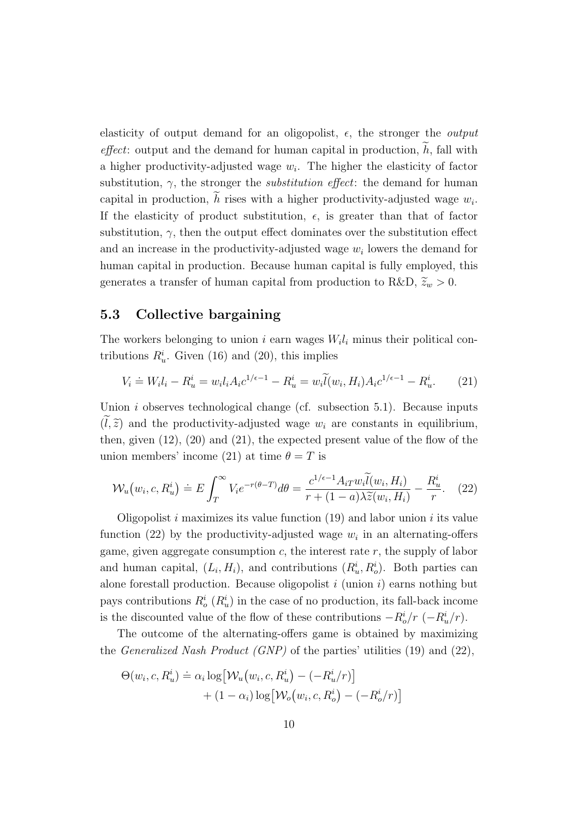elasticity of output demand for an oligopolist, *ϵ*, the stronger the *output*  $effect:$  output and the demand for human capital in production,  $h$ , fall with a higher productivity-adjusted wage *w<sup>i</sup>* . The higher the elasticity of factor substitution, *γ*, the stronger the *substitution effect*: the demand for human capital in production,  $h$  rises with a higher productivity-adjusted wage  $w_i$ . If the elasticity of product substitution,  $\epsilon$ , is greater than that of factor substitution,  $\gamma$ , then the output effect dominates over the substitution effect and an increase in the productivity-adjusted wage *w<sup>i</sup>* lowers the demand for human capital in production. Because human capital is fully employed, this generates a transfer of human capital from production to R&D,  $\tilde{z}_w > 0$ .

#### **5.3 Collective bargaining**

The workers belonging to union *i* earn wages  $W_i l_i$  minus their political contributions  $R_u^i$ . Given (16) and (20), this implies

$$
V_i \doteq W_i l_i - R_u^i = w_i l_i A_i c^{1/\epsilon - 1} - R_u^i = w_i \widetilde{l}(w_i, H_i) A_i c^{1/\epsilon - 1} - R_u^i.
$$
 (21)

Union *i* observes technological change (cf. subsection 5.1). Because inputs  $(\tilde{l}, \tilde{z})$  and the productivity-adjusted wage  $w_i$  are constants in equilibrium, then, given (12), (20) and (21), the expected present value of the flow of the union members' income (21) at time  $\theta = T$  is

$$
\mathcal{W}_u(w_i, c, R_u^i) \doteq E \int_T^{\infty} V_i e^{-r(\theta - T)} d\theta = \frac{c^{1/\epsilon - 1} A_i \tau w_i \widetilde{l}(w_i, H_i)}{r + (1 - a)\lambda \widetilde{z}(w_i, H_i)} - \frac{R_u^i}{r}.
$$
 (22)

Oligopolist *i* maximizes its value function (19) and labor union *i* its value function (22) by the productivity-adjusted wage  $w_i$  in an alternating-offers game, given aggregate consumption *c*, the interest rate *r*, the supply of labor and human capital,  $(L_i, H_i)$ , and contributions  $(R_u^i, R_o^i)$ . Both parties can alone forestall production. Because oligopolist *i* (union *i*) earns nothing but pays contributions  $R_o^i$  ( $R_u^i$ ) in the case of no production, its fall-back income is the discounted value of the flow of these contributions  $-R_o^i/r$  ( $-R_u^i/r$ ).

The outcome of the alternating-offers game is obtained by maximizing the *Generalized Nash Product (GNP)* of the parties' utilities (19) and (22),

$$
\Theta(w_i, c, R_u^i) \doteq \alpha_i \log \left[ \mathcal{W}_u(w_i, c, R_u^i) - (-R_u^i/r) \right] + (1 - \alpha_i) \log \left[ \mathcal{W}_o(w_i, c, R_o^i) - (-R_o^i/r) \right]
$$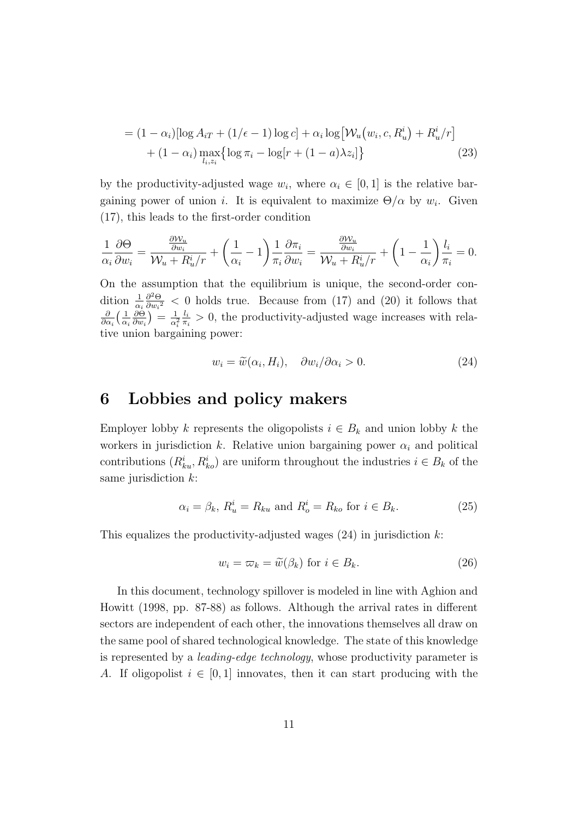$$
= (1 - \alpha_i) [\log A_{iT} + (1/\epsilon - 1) \log c] + \alpha_i \log [W_u(w_i, c, R_u^i) + R_u^i / r] + (1 - \alpha_i) \max_{l_i, z_i} {\log \pi_i - \log [r + (1 - a)\lambda z_i]}
$$
(23)

by the productivity-adjusted wage  $w_i$ , where  $\alpha_i \in [0,1]$  is the relative bargaining power of union *i*. It is equivalent to maximize  $\Theta/\alpha$  by  $w_i$ . Given (17), this leads to the first-order condition

$$
\frac{1}{\alpha_i} \frac{\partial \Theta}{\partial w_i} = \frac{\frac{\partial \mathcal{W}_u}{\partial w_i}}{\mathcal{W}_u + R_u^i / r} + \left(\frac{1}{\alpha_i} - 1\right) \frac{1}{\pi_i} \frac{\partial \pi_i}{\partial w_i} = \frac{\frac{\partial \mathcal{W}_u}{\partial w_i}}{\mathcal{W}_u + R_u^i / r} + \left(1 - \frac{1}{\alpha_i}\right) \frac{l_i}{\pi_i} = 0.
$$

On the assumption that the equilibrium is unique, the second-order condition  $\frac{1}{\alpha_i}$ *∂* <sup>2</sup>Θ  $\frac{\partial^2 \Theta}{\partial w_i^2}$  < 0 holds true. Because from (17) and (20) it follows that *∂*  $\frac{\partial}{\partial \alpha_i} \left( \frac{1}{\alpha_i} \right)$ *αi ∂*Θ  $\frac{\partial \Theta}{\partial w_i}$ )  $= \frac{1}{\alpha_i^2}$  $\overline{\alpha_i^2}$ *li*  $\frac{l_i}{\pi_i} > 0$ , the productivity-adjusted wage increases with relative union bargaining power:

$$
w_i = \widetilde{w}(\alpha_i, H_i), \quad \partial w_i / \partial \alpha_i > 0. \tag{24}
$$

### **6 Lobbies and policy makers**

Employer lobby *k* represents the oligopolists  $i \in B_k$  and union lobby *k* the workers in jurisdiction  $k$ . Relative union bargaining power  $\alpha_i$  and political contributions  $(R^i_{ku}, R^i_{ko})$  are uniform throughout the industries  $i \in B_k$  of the same jurisdiction *k*:

$$
\alpha_i = \beta_k, R_u^i = R_{ku} \text{ and } R_o^i = R_{ko} \text{ for } i \in B_k.
$$
 (25)

This equalizes the productivity-adjusted wages (24) in jurisdiction *k*:

$$
w_i = \varpi_k = \widetilde{w}(\beta_k) \text{ for } i \in B_k. \tag{26}
$$

In this document, technology spillover is modeled in line with Aghion and Howitt (1998, pp. 87-88) as follows. Although the arrival rates in different sectors are independent of each other, the innovations themselves all draw on the same pool of shared technological knowledge. The state of this knowledge is represented by a *leading-edge technology*, whose productivity parameter is *A*. If oligopolist  $i \in [0, 1]$  innovates, then it can start producing with the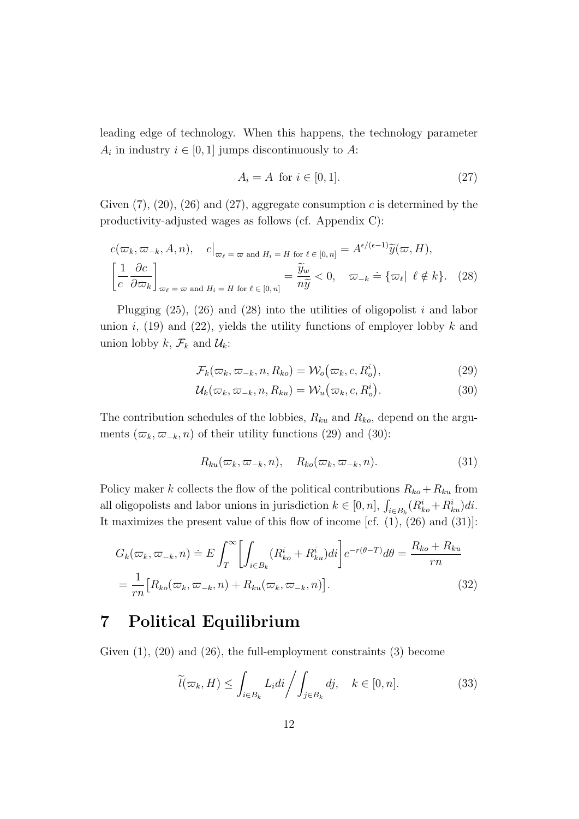leading edge of technology. When this happens, the technology parameter  $A_i$  in industry  $i \in [0, 1]$  jumps discontinuously to  $A$ :

$$
A_i = A \text{ for } i \in [0, 1]. \tag{27}
$$

Given  $(7)$ ,  $(20)$ ,  $(26)$  and  $(27)$ , aggregate consumption *c* is determined by the productivity-adjusted wages as follows (cf. Appendix C):

$$
c(\varpi_k, \varpi_{-k}, A, n), \quad c\big|_{\varpi_\ell = \varpi \text{ and } H_i = H \text{ for } \ell \in [0, n]} = A^{\epsilon/(\epsilon - 1)}\widetilde{y}(\varpi, H),
$$

$$
\left[\frac{1}{c}\frac{\partial c}{\partial \varpi_k}\right]_{\varpi_\ell = \varpi \text{ and } H_i = H \text{ for } \ell \in [0, n]} = \frac{\widetilde{y}_w}{n\widetilde{y}} < 0, \quad \varpi_{-k} = \{\varpi_\ell \mid \ell \notin k\}. \tag{28}
$$

Plugging (25), (26) and (28) into the utilities of oligopolist *i* and labor union  $i$ , (19) and (22), yields the utility functions of employer lobby  $k$  and union lobby  $k$ ,  $\mathcal{F}_k$  and  $\mathcal{U}_k$ :

$$
\mathcal{F}_k(\varpi_k, \varpi_{-k}, n, R_{ko}) = \mathcal{W}_o(\varpi_k, c, R_o^i), \tag{29}
$$

$$
\mathcal{U}_k(\varpi_k, \varpi_{-k}, n, R_{ku}) = \mathcal{W}_u(\varpi_k, c, R_o^i). \tag{30}
$$

The contribution schedules of the lobbies, *Rku* and *Rko*, depend on the arguments  $(\varpi_k, \varpi_{-k}, n)$  of their utility functions (29) and (30):

$$
R_{ku}(\varpi_k, \varpi_{-k}, n), \quad R_{ko}(\varpi_k, \varpi_{-k}, n). \tag{31}
$$

Policy maker *k* collects the flow of the political contributions  $R_{k0} + R_{ku}$  from all oligopolists and labor unions in jurisdiction  $k \in [0, n]$ ,  $\int_{i \in B_k} (R_{ko}^i + R_{ku}^i) di$ . It maximizes the present value of this flow of income [cf.  $(1)$ ,  $(26)$  and  $(31)$ ]:

$$
G_k(\varpi_k, \varpi_{-k}, n) \doteq E \int_T^{\infty} \left[ \int_{i \in B_k} (R_{ko}^i + R_{ku}^i) di \right] e^{-r(\theta - T)} d\theta = \frac{R_{ko} + R_{ku}}{rn}
$$

$$
= \frac{1}{rn} \left[ R_{ko}(\varpi_k, \varpi_{-k}, n) + R_{ku}(\varpi_k, \varpi_{-k}, n) \right].
$$
(32)

## **7 Political Equilibrium**

Given (1), (20) and (26), the full-employment constraints (3) become

$$
\widetilde{l}(\varpi_k, H) \le \int_{i \in B_k} L_i di / \int_{j \in B_k} dj, \quad k \in [0, n]. \tag{33}
$$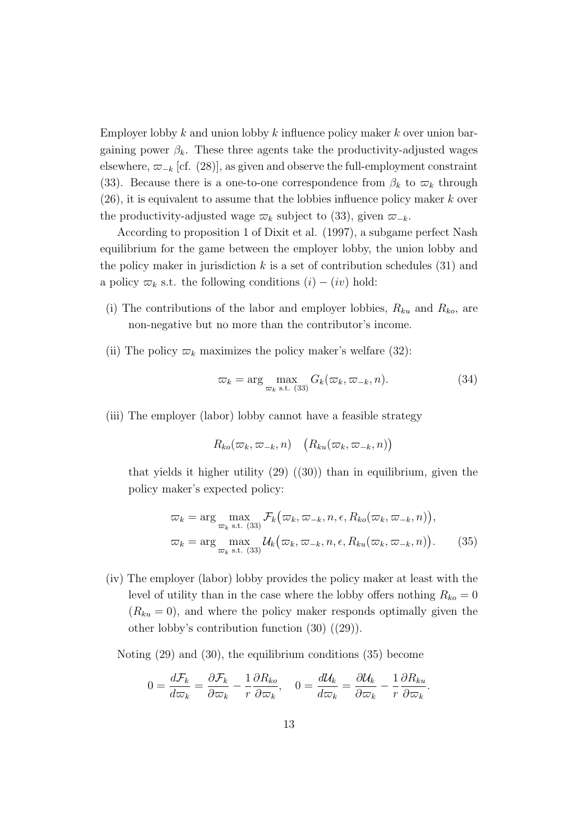Employer lobby *k* and union lobby *k* influence policy maker *k* over union bargaining power  $\beta_k$ . These three agents take the productivity-adjusted wages elsewhere,  $\varpi_{-k}$  [cf. (28)], as given and observe the full-employment constraint (33). Because there is a one-to-one correspondence from  $\beta_k$  to  $\varpi_k$  through (26), it is equivalent to assume that the lobbies influence policy maker *k* over the productivity-adjusted wage  $\varpi_k$  subject to (33), given  $\varpi_{-k}$ .

According to proposition 1 of Dixit et al. (1997), a subgame perfect Nash equilibrium for the game between the employer lobby, the union lobby and the policy maker in jurisdiction  $k$  is a set of contribution schedules  $(31)$  and a policy  $\varpi_k$  s.t. the following conditions  $(i) - (iv)$  hold:

- (i) The contributions of the labor and employer lobbies,  $R_{ku}$  and  $R_{ko}$ , are non-negative but no more than the contributor's income.
- (ii) The policy  $\varpi_k$  maximizes the policy maker's welfare (32):

$$
\varpi_k = \arg \max_{\varpi_k \text{ s.t. } (33)} G_k(\varpi_k, \varpi_{-k}, n). \tag{34}
$$

(iii) The employer (labor) lobby cannot have a feasible strategy

$$
R_{ko}(\varpi_k, \varpi_{-k}, n) \quad (R_{ku}(\varpi_k, \varpi_{-k}, n))
$$

that yields it higher utility  $(29)$   $((30))$  than in equilibrium, given the policy maker's expected policy:

$$
\varpi_k = \arg \max_{\varpi_k \text{ s.t. } (33)} \mathcal{F}_k(\varpi_k, \varpi_{-k}, n, \epsilon, R_{ko}(\varpi_k, \varpi_{-k}, n)),
$$
  

$$
\varpi_k = \arg \max_{\varpi_k \text{ s.t. } (33)} \mathcal{U}_k(\varpi_k, \varpi_{-k}, n, \epsilon, R_{ku}(\varpi_k, \varpi_{-k}, n)).
$$
 (35)

(iv) The employer (labor) lobby provides the policy maker at least with the level of utility than in the case where the lobby offers nothing  $R_{ko} = 0$  $(R_{ku} = 0)$ , and where the policy maker responds optimally given the other lobby's contribution function (30) ((29)).

Noting (29) and (30), the equilibrium conditions (35) become

$$
0 = \frac{d\mathcal{F}_k}{d\varpi_k} = \frac{\partial \mathcal{F}_k}{\partial \varpi_k} - \frac{1}{r} \frac{\partial R_{ko}}{\partial \varpi_k}, \quad 0 = \frac{d\mathcal{U}_k}{d\varpi_k} = \frac{\partial \mathcal{U}_k}{\partial \varpi_k} - \frac{1}{r} \frac{\partial R_{ku}}{\partial \varpi_k}.
$$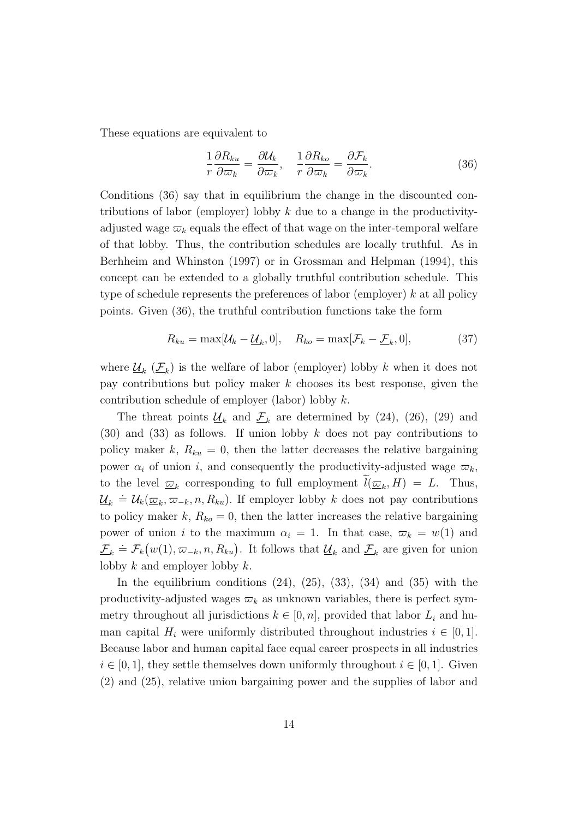These equations are equivalent to

$$
\frac{1}{r}\frac{\partial R_{ku}}{\partial \varpi_k} = \frac{\partial \mathcal{U}_k}{\partial \varpi_k}, \quad \frac{1}{r}\frac{\partial R_{ko}}{\partial \varpi_k} = \frac{\partial \mathcal{F}_k}{\partial \varpi_k}.
$$
(36)

Conditions (36) say that in equilibrium the change in the discounted contributions of labor (employer) lobby *k* due to a change in the productivityadjusted wage  $\varpi_k$  equals the effect of that wage on the inter-temporal welfare of that lobby. Thus, the contribution schedules are locally truthful. As in Berhheim and Whinston (1997) or in Grossman and Helpman (1994), this concept can be extended to a globally truthful contribution schedule. This type of schedule represents the preferences of labor (employer) *k* at all policy points. Given (36), the truthful contribution functions take the form

$$
R_{ku} = \max[\mathcal{U}_k - \underline{\mathcal{U}}_k, 0], \quad R_{ko} = \max[\mathcal{F}_k - \underline{\mathcal{F}}_k, 0], \tag{37}
$$

where  $\underline{\mathcal{U}}_k$  ( $\underline{\mathcal{F}}_k$ ) is the welfare of labor (employer) lobby  $k$  when it does not pay contributions but policy maker *k* chooses its best response, given the contribution schedule of employer (labor) lobby *k*.

The threat points  $\underline{\mathcal{U}}_k$  and  $\underline{\mathcal{F}}_k$  are determined by (24), (26), (29) and (30) and (33) as follows. If union lobby *k* does not pay contributions to policy maker  $k$ ,  $R_{ku} = 0$ , then the latter decreases the relative bargaining power  $\alpha_i$  of union *i*, and consequently the productivity-adjusted wage  $\alpha_k$ , to the level  $\overline{\omega}_k$  corresponding to full employment  $l(\overline{\omega}_k, H) = L$ . Thus,  $\underline{U}_k = U_k(\underline{\varpi}_k, \overline{\varpi}_{-k}, n, R_{ku})$ . If employer lobby *k* does not pay contributions to policy maker  $k$ ,  $R_{ko} = 0$ , then the latter increases the relative bargaining power of union *i* to the maximum  $\alpha_i = 1$ . In that case,  $\varpi_k = w(1)$  and  $\mathcal{F}_k = \mathcal{F}_k(w(1), \varpi_{-k}, n, R_{ku})$ . It follows that  $\mathcal{U}_k$  and  $\mathcal{F}_k$  are given for union lobby *k* and employer lobby *k*.

In the equilibrium conditions  $(24)$ ,  $(25)$ ,  $(33)$ ,  $(34)$  and  $(35)$  with the productivity-adjusted wages  $\varpi_k$  as unknown variables, there is perfect symmetry throughout all jurisdictions  $k \in [0, n]$ , provided that labor  $L_i$  and human capital  $H_i$  were uniformly distributed throughout industries  $i \in [0,1]$ . Because labor and human capital face equal career prospects in all industries  $i \in [0, 1]$ , they settle themselves down uniformly throughout  $i \in [0, 1]$ . Given (2) and (25), relative union bargaining power and the supplies of labor and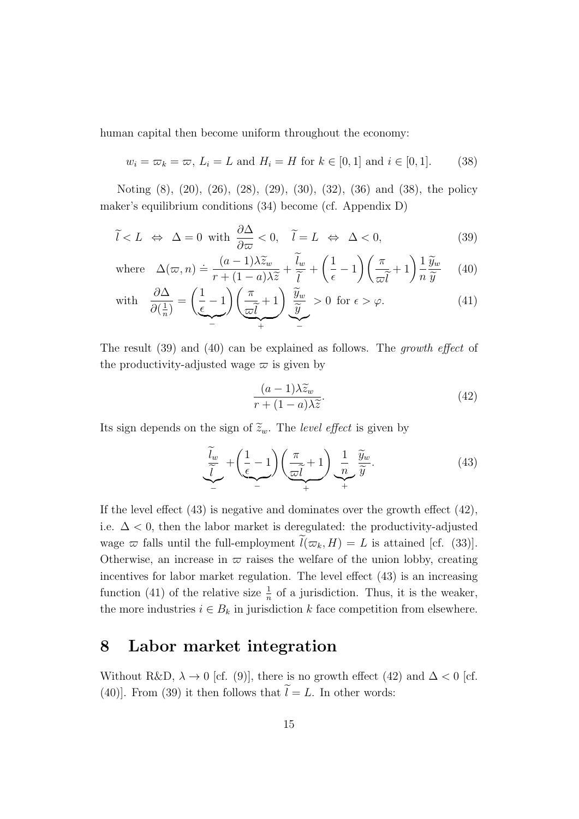human capital then become uniform throughout the economy:

$$
w_i = \varpi_k = \varpi, L_i = L \text{ and } H_i = H \text{ for } k \in [0, 1] \text{ and } i \in [0, 1].
$$
 (38)

Noting (8), (20), (26), (28), (29), (30), (32), (36) and (38), the policy maker's equilibrium conditions (34) become (cf. Appendix D)

$$
\tilde{l} < L \iff \Delta = 0 \text{ with } \frac{\partial \Delta}{\partial \varpi} < 0, \quad \tilde{l} = L \iff \Delta < 0,\tag{39}
$$

where 
$$
\Delta(\varpi, n) \doteq \frac{(a-1)\lambda \widetilde{z}_w}{r + (1-a)\lambda \widetilde{z}} + \frac{\widetilde{l}_w}{\widetilde{l}} + \left(\frac{1}{\epsilon} - 1\right) \left(\frac{\pi}{\varpi \widetilde{l}} + 1\right) \frac{1}{n} \frac{\widetilde{y}_w}{\widetilde{y}} \qquad (40)
$$

with 
$$
\frac{\partial \Delta}{\partial (\frac{1}{n})} = \left(\frac{1}{\epsilon} - 1\right) \left(\frac{\pi}{\omega \tilde{l}} + 1\right) \underbrace{\frac{\tilde{y}_w}{\tilde{y}}}_{+} > 0 \text{ for } \epsilon > \varphi.
$$
 (41)

The result (39) and (40) can be explained as follows. The *growth effect* of the productivity-adjusted wage  $\varpi$  is given by

$$
\frac{(a-1)\lambda \widetilde{z}_w}{r + (1-a)\lambda \widetilde{z}}.\tag{42}
$$

Its sign depends on the sign of  $\tilde{z}_w$ . The *level effect* is given by

$$
\underbrace{\widetilde{l}_w}{\widetilde{l}} + \underbrace{\left(\frac{1}{\epsilon} - 1\right)}_{-} \underbrace{\left(\frac{\pi}{\varpi \widetilde{l}} + 1\right)}_{+} \underbrace{\frac{1}{n}}_{+} \underbrace{\widetilde{y}_w}_{\widetilde{y}}.
$$
\n(43)

If the level effect (43) is negative and dominates over the growth effect (42), i.e.  $\Delta$  < 0, then the labor market is deregulated: the productivity-adjusted wage  $\varpi$  falls until the full-employment  $\tilde{l}(\varpi_k, H) = L$  is attained [cf. (33)]. Otherwise, an increase in  $\varpi$  raises the welfare of the union lobby, creating incentives for labor market regulation. The level effect (43) is an increasing function (41) of the relative size  $\frac{1}{n}$  of a jurisdiction. Thus, it is the weaker, the more industries  $i \in B_k$  in jurisdiction  $k$  face competition from elsewhere.

## **8 Labor market integration**

Without R&D,  $\lambda \to 0$  [cf. (9)], there is no growth effect (42) and  $\Delta < 0$  [cf. (40)]. From (39) it then follows that  $\tilde{l} = L$ . In other words: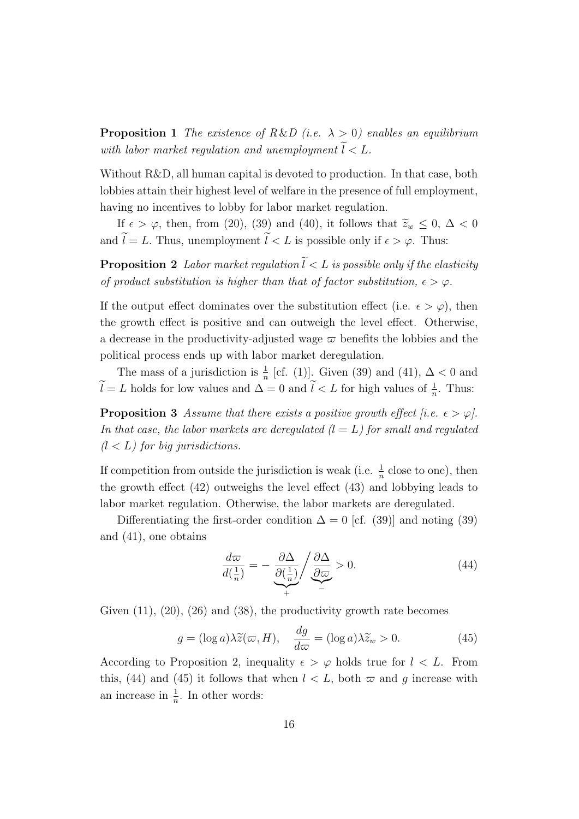**Proposition 1** *The existence of R&D (i.e.*  $\lambda > 0$ ) enables an equilibrium *with labor market regulation and unemployment*  $\widetilde{l} < L$ *.* 

Without R&D, all human capital is devoted to production. In that case, both lobbies attain their highest level of welfare in the presence of full employment, having no incentives to lobby for labor market regulation.

If  $\epsilon > \varphi$ , then, from (20), (39) and (40), it follows that  $\tilde{z}_w \leq 0$ ,  $\Delta < 0$ and  $\widetilde{l} = L$ . Thus, unemployment  $\widetilde{l} < L$  is possible only if  $\epsilon > \varphi$ . Thus:

**Proposition 2** *Labor market regulation*  $\widetilde{l} < L$  *is possible only if the elasticity of product substitution is higher than that of factor substitution,*  $\epsilon > \varphi$ .

If the output effect dominates over the substitution effect (i.e.  $\epsilon > \varphi$ ), then the growth effect is positive and can outweigh the level effect. Otherwise, a decrease in the productivity-adjusted wage  $\varpi$  benefits the lobbies and the political process ends up with labor market deregulation.

The mass of a jurisdiction is  $\frac{1}{n}$  [cf. (1)]. Given (39) and (41),  $\Delta < 0$  and  $\tilde{l} = L$  holds for low values and  $\Delta = 0$  and  $\tilde{l} < L$  for high values of  $\frac{1}{n}$ . Thus:

**Proposition 3** *Assume that there exists a positive growth effect [i.e.*  $\epsilon > \varphi$ ]. *In that case, the labor markets are deregulated (l* = *L) for small and regulated (l < L) for big jurisdictions.*

If competition from outside the jurisdiction is weak (i.e.  $\frac{1}{n}$  close to one), then the growth effect (42) outweighs the level effect (43) and lobbying leads to labor market regulation. Otherwise, the labor markets are deregulated.

Differentiating the first-order condition  $\Delta = 0$  [cf. (39)] and noting (39) and (41), one obtains

$$
\frac{d\varpi}{d(\frac{1}{n})} = -\underbrace{\frac{\partial\Delta}{\partial(\frac{1}{n})}}_{+} / \underbrace{\frac{\partial\Delta}{\partial\varpi}}_{-} > 0.
$$
\n(44)

Given  $(11)$ ,  $(20)$ ,  $(26)$  and  $(38)$ , the productivity growth rate becomes

$$
g = (\log a)\lambda \widetilde{z}(\varpi, H), \quad \frac{dg}{d\varpi} = (\log a)\lambda \widetilde{z}_w > 0.
$$
 (45)

According to Proposition 2, inequality  $\epsilon > \varphi$  holds true for  $l < L$ . From this, (44) and (45) it follows that when  $l < L$ , both  $\varpi$  and g increase with an increase in  $\frac{1}{n}$ . In other words: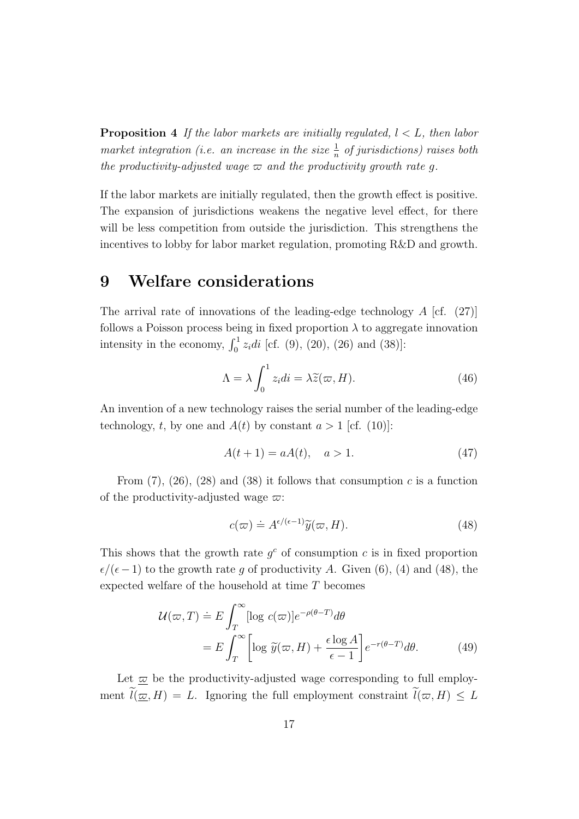**Proposition 4** *If the labor markets are initially regulated, l < L, then labor market integration (i.e. an increase in the size*  $\frac{1}{n}$  *of jurisdictions) raises both the productivity-adjusted wage*  $\varpi$  *and the productivity growth rate q.* 

If the labor markets are initially regulated, then the growth effect is positive. The expansion of jurisdictions weakens the negative level effect, for there will be less competition from outside the jurisdiction. This strengthens the incentives to lobby for labor market regulation, promoting R&D and growth.

## **9 Welfare considerations**

The arrival rate of innovations of the leading-edge technology *A* [cf. (27)] follows a Poisson process being in fixed proportion  $\lambda$  to aggregate innovation intensity in the economy,  $\int_0^1 z_i di$  [cf. (9), (20), (26) and (38)]:

$$
\Lambda = \lambda \int_0^1 z_i di = \lambda \tilde{z}(\varpi, H). \tag{46}
$$

An invention of a new technology raises the serial number of the leading-edge technology, *t*, by one and  $A(t)$  by constant  $a > 1$  [cf. (10)]:

$$
A(t+1) = aA(t), \quad a > 1.
$$
 (47)

From  $(7)$ ,  $(26)$ ,  $(28)$  and  $(38)$  it follows that consumption *c* is a function of the productivity-adjusted wage *ϖ*:

$$
c(\varpi) \doteq A^{\epsilon/(\epsilon-1)} \widetilde{y}(\varpi, H). \tag{48}
$$

This shows that the growth rate  $g^c$  of consumption  $c$  is in fixed proportion  $\epsilon/(\epsilon-1)$  to the growth rate g of productivity A. Given (6), (4) and (48), the expected welfare of the household at time *T* becomes

$$
\mathcal{U}(\varpi, T) \doteq E \int_{T}^{\infty} [\log c(\varpi)] e^{-\rho(\theta - T)} d\theta
$$
  
= 
$$
E \int_{T}^{\infty} \left[ \log \tilde{y}(\varpi, H) + \frac{\epsilon \log A}{\epsilon - 1} \right] e^{-r(\theta - T)} d\theta.
$$
 (49)

Let  $\overline{\omega}$  be the productivity-adjusted wage corresponding to full employment  $\widetilde{l}(\underline{\varpi}, H) = L$ . Ignoring the full employment constraint  $\widetilde{l}(\varpi, H) \leq L$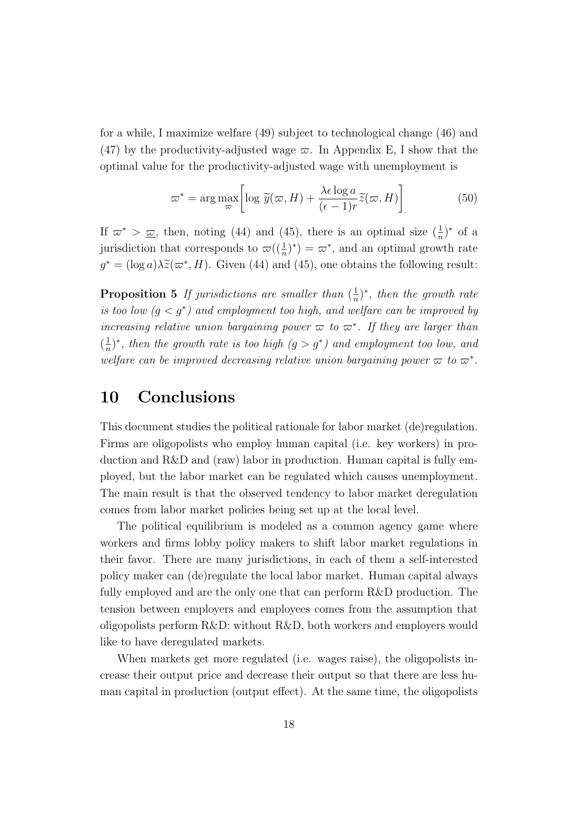for a while, I maximize welfare (49) subject to technological change (46) and (47) by the productivity-adjusted wage  $\varpi$ . In Appendix E, I show that the optimal value for the productivity-adjusted wage with unemployment is

$$
\varpi^* = \arg \max_{\varpi} \left[ \log \widetilde{y}(\varpi, H) + \frac{\lambda \epsilon \log a}{(\epsilon - 1)r} \widetilde{z}(\varpi, H) \right] \tag{50}
$$

If  $\varpi^*$  >  $\underline{\varpi}$ , then, noting (44) and (45), there is an optimal size  $(\frac{1}{n})^*$  of a jurisdiction that corresponds to  $\omega((\frac{1}{n})^*) = \omega^*$ , and an optimal growth rate  $g^* = (\log a) \lambda \tilde{z}(\varpi^*, H)$ . Given (44) and (45), one obtains the following result:

**Proposition 5** If jurisdictions are smaller than  $\left(\frac{1}{n}\right)$  $\frac{1}{n}$ <sup>\*</sup>, then the growth rate *is too low*  $(g < g^*)$  *and employment too high, and welfare can be improved by increasing relative union bargaining power*  $\varpi$  *to*  $\varpi^*$ *. If they are larger than*  $\left(\frac{1}{n}\right)$  $\frac{1}{n}$ <sup>*r*</sup>, then the growth rate is too high  $(q > g^*)$  and employment too low, and *welfare can be improved decreasing relative union bargaining power*  $\varpi$  *to*  $\varpi^*$ .

## **10 Conclusions**

This document studies the political rationale for labor market (de)regulation. Firms are oligopolists who employ human capital (i.e. key workers) in production and R&D and (raw) labor in production. Human capital is fully employed, but the labor market can be regulated which causes unemployment. The main result is that the observed tendency to labor market deregulation comes from labor market policies being set up at the local level.

The political equilibrium is modeled as a common agency game where workers and firms lobby policy makers to shift labor market regulations in their favor. There are many jurisdictions, in each of them a self-interested policy maker can (de)regulate the local labor market. Human capital always fully employed and are the only one that can perform R&D production. The tension between employers and employees comes from the assumption that oligopolists perform R&D: without R&D, both workers and employers would like to have deregulated markets.

When markets get more regulated (i.e. wages raise), the oligopolists increase their output price and decrease their output so that there are less human capital in production (output effect). At the same time, the oligopolists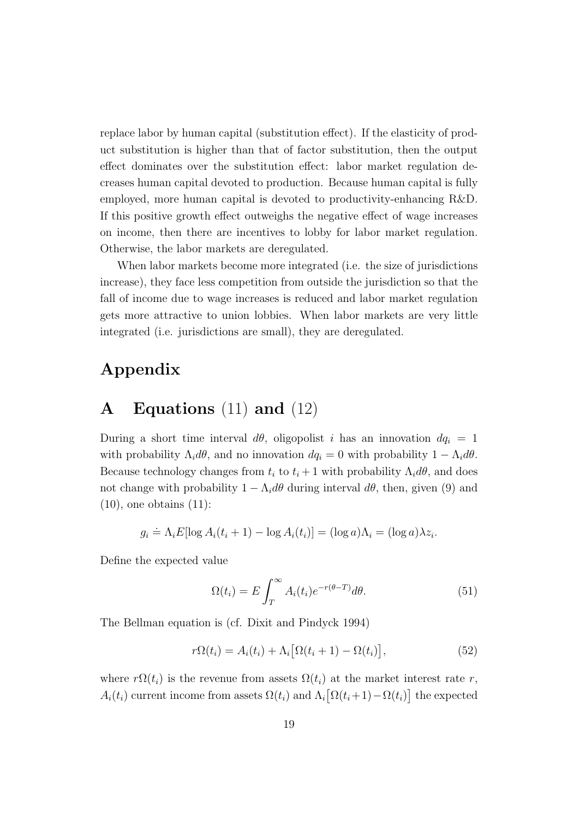replace labor by human capital (substitution effect). If the elasticity of product substitution is higher than that of factor substitution, then the output effect dominates over the substitution effect: labor market regulation decreases human capital devoted to production. Because human capital is fully employed, more human capital is devoted to productivity-enhancing R&D. If this positive growth effect outweighs the negative effect of wage increases on income, then there are incentives to lobby for labor market regulation. Otherwise, the labor markets are deregulated.

When labor markets become more integrated (i.e. the size of jurisdictions increase), they face less competition from outside the jurisdiction so that the fall of income due to wage increases is reduced and labor market regulation gets more attractive to union lobbies. When labor markets are very little integrated (i.e. jurisdictions are small), they are deregulated.

## **Appendix**

## **A Equations** (11) **and** (12)

During a short time interval  $d\theta$ , oligopolist *i* has an innovation  $dq_i = 1$ with probability  $\Lambda_i d\theta$ , and no innovation  $dq_i = 0$  with probability  $1 - \Lambda_i d\theta$ . Because technology changes from  $t_i$  to  $t_i + 1$  with probability  $\Lambda_i d\theta$ , and does not change with probability  $1 - \Lambda_i d\theta$  during interval  $d\theta$ , then, given (9) and  $(10)$ , one obtains  $(11)$ :

$$
g_i \doteq \Lambda_i E[\log A_i(t_i + 1) - \log A_i(t_i)] = (\log a)\Lambda_i = (\log a)\lambda z_i.
$$

Define the expected value

$$
\Omega(t_i) = E \int_T^{\infty} A_i(t_i) e^{-r(\theta - T)} d\theta.
$$
\n(51)

The Bellman equation is (cf. Dixit and Pindyck 1994)

$$
r\Omega(t_i) = A_i(t_i) + \Lambda_i[\Omega(t_i+1) - \Omega(t_i)],
$$
\n(52)

where  $r\Omega(t_i)$  is the revenue from assets  $\Omega(t_i)$  at the market interest rate r,  $A_i(t_i)$  current income from assets  $\Omega(t_i)$  and  $\Lambda_i[\Omega(t_i+1) - \Omega(t_i)]$  the expected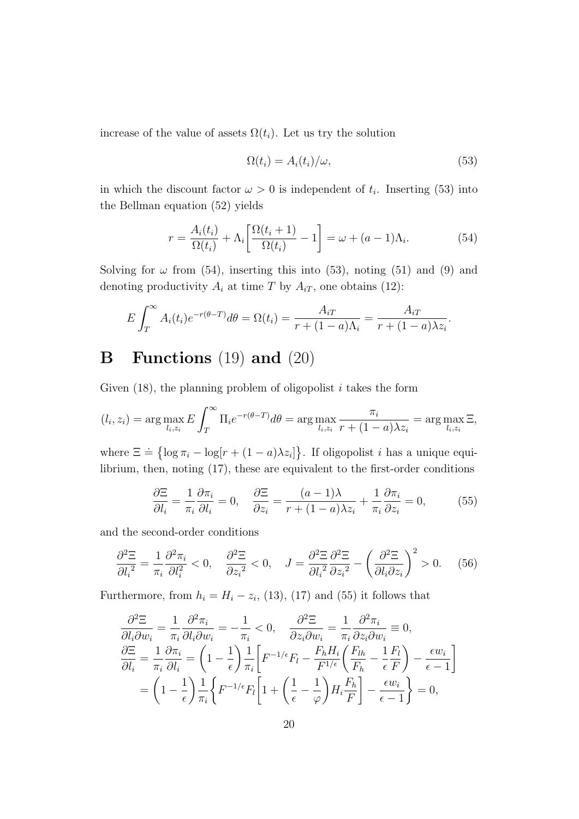increase of the value of assets  $\Omega(t_i)$ . Let us try the solution

$$
\Omega(t_i) = A_i(t_i)/\omega,\tag{53}
$$

in which the discount factor  $\omega > 0$  is independent of  $t_i$ . Inserting (53) into the Bellman equation (52) yields

$$
r = \frac{A_i(t_i)}{\Omega(t_i)} + \Lambda_i \left[ \frac{\Omega(t_i + 1)}{\Omega(t_i)} - 1 \right] = \omega + (a - 1)\Lambda_i.
$$
 (54)

Solving for  $\omega$  from (54), inserting this into (53), noting (51) and (9) and denoting productivity  $A_i$  at time  $T$  by  $A_{iT}$ , one obtains (12):

$$
E\int_T^{\infty} A_i(t_i)e^{-r(\theta-T)}d\theta = \Omega(t_i) = \frac{A_{iT}}{r+(1-a)\Lambda_i} = \frac{A_{iT}}{r+(1-a)\lambda z_i}.
$$

## **B Functions** (19) **and** (20)

Given (18), the planning problem of oligopolist *i* takes the form

$$
(l_i, z_i) = \arg\max_{l_i, z_i} E \int_T^{\infty} \Pi_i e^{-r(\theta - T)} d\theta = \arg\max_{l_i, z_i} \frac{\pi_i}{r + (1 - a)\lambda z_i} = \arg\max_{l_i, z_i} \Xi,
$$

where  $\Xi \doteq \{ \log \pi_i - \log[r + (1 - a)\lambda z_i] \}.$  If oligopolist *i* has a unique equilibrium, then, noting (17), these are equivalent to the first-order conditions

$$
\frac{\partial \Xi}{\partial l_i} = \frac{1}{\pi_i} \frac{\partial \pi_i}{\partial l_i} = 0, \quad \frac{\partial \Xi}{\partial z_i} = \frac{(a-1)\lambda}{r + (1-a)\lambda z_i} + \frac{1}{\pi_i} \frac{\partial \pi_i}{\partial z_i} = 0,
$$
(55)

and the second-order conditions

$$
\frac{\partial^2 \Xi}{\partial l_i^2} = \frac{1}{\pi_i} \frac{\partial^2 \pi_i}{\partial l_i^2} < 0, \quad \frac{\partial^2 \Xi}{\partial z_i^2} < 0, \quad J = \frac{\partial^2 \Xi}{\partial l_i^2} \frac{\partial^2 \Xi}{\partial z_i^2} - \left(\frac{\partial^2 \Xi}{\partial l_i \partial z_i}\right)^2 > 0. \tag{56}
$$

Furthermore, from  $h_i = H_i - z_i$ , (13), (17) and (55) it follows that

$$
\frac{\partial^2 \Xi}{\partial l_i \partial w_i} = \frac{1}{\pi_i} \frac{\partial^2 \pi_i}{\partial l_i \partial w_i} = -\frac{1}{\pi_i} < 0, \quad \frac{\partial^2 \Xi}{\partial z_i \partial w_i} = \frac{1}{\pi_i} \frac{\partial^2 \pi_i}{\partial z_i \partial w_i} \equiv 0,
$$
\n
$$
\frac{\partial \Xi}{\partial l_i} = \frac{1}{\pi_i} \frac{\partial \pi_i}{\partial l_i} = \left(1 - \frac{1}{\epsilon}\right) \frac{1}{\pi_i} \left[F^{-1/\epsilon} F_l - \frac{F_h H_i}{F^{1/\epsilon}} \left(\frac{F_{lh}}{F_h} - \frac{1}{\epsilon} \frac{F_l}{F}\right) - \frac{\epsilon w_i}{\epsilon - 1}\right]
$$
\n
$$
= \left(1 - \frac{1}{\epsilon}\right) \frac{1}{\pi_i} \left\{F^{-1/\epsilon} F_l \left[1 + \left(\frac{1}{\epsilon} - \frac{1}{\varphi}\right) H_i \frac{F_h}{F}\right] - \frac{\epsilon w_i}{\epsilon - 1}\right\} = 0,
$$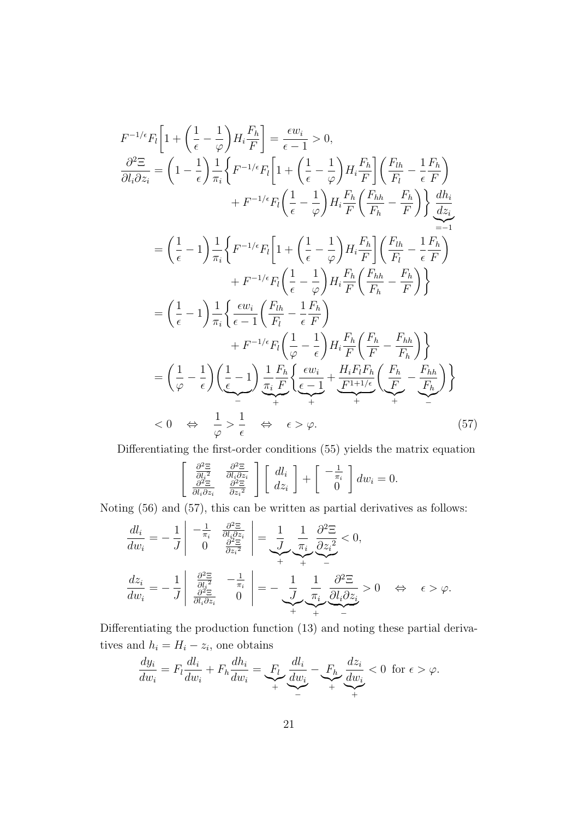$$
F^{-1/\epsilon}F_{l}\left[1+\left(\frac{1}{\epsilon}-\frac{1}{\varphi}\right)H_{i}\frac{F_{h}}{F}\right] = \frac{\epsilon w_{i}}{\epsilon-1} > 0,
$$
\n
$$
\frac{\partial^{2}\Xi}{\partial l_{i}\partial z_{i}} = \left(1-\frac{1}{\epsilon}\right)\frac{1}{\pi_{i}}\left\{F^{-1/\epsilon}F_{l}\left[1+\left(\frac{1}{\epsilon}-\frac{1}{\varphi}\right)H_{i}\frac{F_{h}}{F}\right]\left(\frac{F_{lh}}{F_{l}}-\frac{1}{\epsilon}F_{h}\right)\right\}
$$
\n
$$
+ F^{-1/\epsilon}F_{l}\left(\frac{1}{\epsilon}-\frac{1}{\varphi}\right)H_{i}\frac{F_{h}}{F}\left(\frac{F_{hh}}{F_{h}}-\frac{F_{h}}{F}\right)\right\}
$$
\n
$$
= \left(\frac{1}{\epsilon}-1\right)\frac{1}{\pi_{i}}\left\{F^{-1/\epsilon}F_{l}\left[1+\left(\frac{1}{\epsilon}-\frac{1}{\varphi}\right)H_{i}\frac{F_{h}}{F}\right]\left(\frac{F_{lh}}{F_{l}}-\frac{1}{\epsilon}F_{h}\right)\right\}
$$
\n
$$
+ F^{-1/\epsilon}F_{l}\left(\frac{1}{\epsilon}-\frac{1}{\varphi}\right)H_{i}\frac{F_{h}}{F}\left(\frac{F_{lh}}{F_{l}}-\frac{1}{\epsilon}F_{h}\right)
$$
\n
$$
+ F^{-1/\epsilon}F_{l}\left(\frac{1}{\epsilon}-\frac{1}{\varphi}\right)H_{i}\frac{F_{h}}{F}\left(\frac{F_{hh}}{F_{h}}-\frac{F_{h}}{F}\right)\right\}
$$
\n
$$
= \left(\frac{1}{\epsilon}-1\right)\frac{1}{\pi_{i}}\left\{\frac{\epsilon w_{i}}{\epsilon-1}\left(\frac{F_{lh}}{F_{l}}-\frac{1}{\epsilon}F_{h}\right)
$$
\n
$$
+ F^{-1/\epsilon}F_{l}\left(\frac{1}{\varphi}-\frac{1}{\epsilon}\right)H_{i}\frac{F_{h}}{F}\left(\frac{F_{h}}{F}-\frac{F_{hh}}{F_{h}}\right)\right\}
$$
\n
$$
= \left(\frac{1}{\varphi}-\frac{1}{\epsilon}\right)\left(\frac{1}{\epsilon}-1
$$

Differentiating the first-order conditions (55) yields the matrix equation

$$
\frac{\frac{\partial^2 \Xi}{\partial l_i^2}}{\frac{\partial^2 \Xi}{\partial l_i \partial z_i}} \frac{\frac{\partial^2 \Xi}{\partial l_i \partial z_i}}{\frac{\partial^2 \Xi}{\partial z_i^2}} \left[ \begin{array}{c} dl_i \\ dz_i \end{array} \right] + \begin{bmatrix} -\frac{1}{\pi_i} \\ 0 \end{bmatrix} dw_i = 0.
$$

Noting (56) and (57), this can be written as partial derivatives as follows:

 $\sqrt{ }$ 

$$
\frac{dl_i}{dw_i} = -\frac{1}{J} \begin{vmatrix} -\frac{1}{\pi_i} & \frac{\partial^2 \Xi}{\partial l_i \partial z_i} \\ 0 & \frac{\partial^2 \Xi}{\partial z_i^2} \end{vmatrix} = \frac{1}{J} \underbrace{\frac{1}{\pi_i} \frac{\partial^2 \Xi}{\partial z_i^2}}_{+ + + + - -} \n\frac{dz_i}{dw_i} = -\frac{1}{J} \begin{vmatrix} \frac{\partial^2 \Xi}{\partial l_i \partial z_i} & -\frac{1}{\pi_i} \\ \frac{\partial^2 \Xi}{\partial l_i \partial z_i} & 0 \end{vmatrix} = -\frac{1}{J} \underbrace{\frac{1}{\pi_i} \frac{\partial^2 \Xi}{\partial l_i \partial z_i}}_{+ + + - - + - -} > 0 \quad \Leftrightarrow \quad \epsilon > \varphi.
$$

Differentiating the production function (13) and noting these partial derivatives and  $h_i = H_i - z_i$ , one obtains

$$
\frac{dy_i}{dw_i} = F_l \frac{dl_i}{dw_i} + F_h \frac{dh_i}{dw_i} = \underbrace{F_l}_{+} \underbrace{\frac{dl_i}{dw_i}}_{-} - \underbrace{F_h}_{+} \underbrace{\frac{dz_i}{dw_i}}_{+} < 0 \text{ for } \epsilon > \varphi.
$$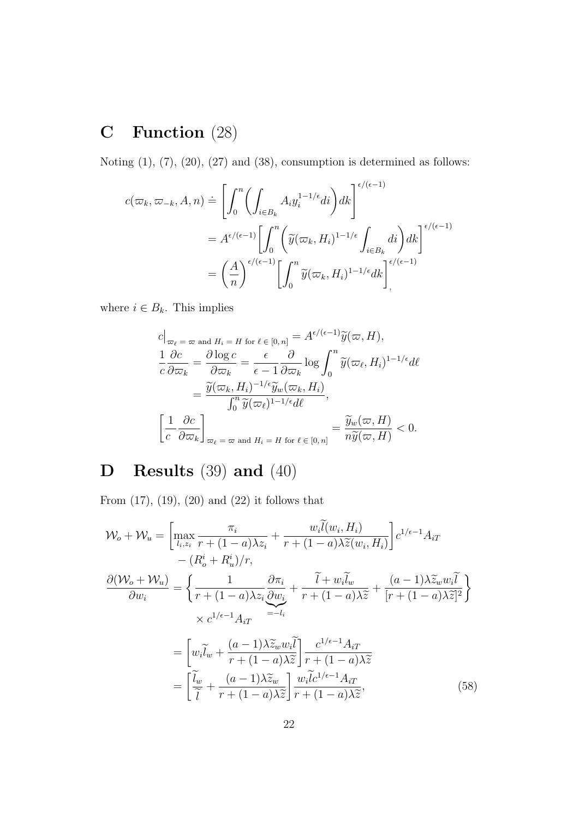# **C Function** (28)

Noting  $(1)$ ,  $(7)$ ,  $(20)$ ,  $(27)$  and  $(38)$ , consumption is determined as follows:

$$
c(\varpi_k, \varpi_{-k}, A, n) \doteq \left[ \int_0^n \left( \int_{i \in B_k} A_i y_i^{1-1/\epsilon} di \right) dk \right]^{ \epsilon / (\epsilon - 1)} = A^{\epsilon / (\epsilon - 1)} \left[ \int_0^n \left( \widetilde{y}(\varpi_k, H_i)^{1-1/\epsilon} \int_{i \in B_k} di \right) dk \right]^{ \epsilon / (\epsilon - 1)} = \left( \frac{A}{n} \right)^{\epsilon / (\epsilon - 1)} \left[ \int_0^n \widetilde{y}(\varpi_k, H_i)^{1-1/\epsilon} dk \right]_0^{\epsilon / (\epsilon - 1)}.
$$

where  $i \in B_k$ . This implies

$$
c|_{\varpi_{\ell}} = \varpi \text{ and } H_i = H \text{ for } \ell \in [0, n] = A^{\epsilon/(\epsilon - 1)} \widetilde{y}(\varpi, H),
$$
  
\n
$$
\frac{1}{c} \frac{\partial c}{\partial \varpi_k} = \frac{\partial \log c}{\partial \varpi_k} = \frac{\epsilon}{\epsilon - 1} \frac{\partial}{\partial \varpi_k} \log \int_0^n \widetilde{y}(\varpi_{\ell}, H_i)^{1 - 1/\epsilon} d\ell
$$
  
\n
$$
= \frac{\widetilde{y}(\varpi_k, H_i)^{-1/\epsilon} \widetilde{y}_w(\varpi_k, H_i)}{\int_0^n \widetilde{y}(\varpi_{\ell})^{1 - 1/\epsilon} d\ell},
$$
  
\n
$$
\left[ \frac{1}{c} \frac{\partial c}{\partial \varpi_k} \right]_{\varpi_{\ell} = \varpi \text{ and } H_i = H \text{ for } \ell \in [0, n]} = \frac{\widetilde{y}_w(\varpi, H)}{n\widetilde{y}(\varpi, H)} < 0.
$$

# **D Results** (39) **and** (40)

From (17), (19), (20) and (22) it follows that

$$
\mathcal{W}_{o} + \mathcal{W}_{u} = \left[ \max_{l_{i},z_{i}} \frac{\pi_{i}}{r + (1 - a)\lambda z_{i}} + \frac{w_{i}\tilde{l}(w_{i},H_{i})}{r + (1 - a)\lambda \tilde{z}(w_{i},H_{i})} \right] c^{1/\epsilon - 1} A_{iT}
$$

$$
- (R_{o}^{i} + R_{u}^{i})/r,
$$

$$
\frac{\partial(\mathcal{W}_{o} + \mathcal{W}_{u})}{\partial w_{i}} = \left\{ \frac{1}{r + (1 - a)\lambda z_{i}} \frac{\partial \pi_{i}}{\partial w_{i}} + \frac{\tilde{l} + w_{i}\tilde{l}_{w}}{r + (1 - a)\lambda \tilde{z}} + \frac{(a - 1)\lambda \tilde{z}_{w}w_{i}\tilde{l}}{[r + (1 - a)\lambda \tilde{z}]^{2}} \right\}
$$

$$
\times c^{1/\epsilon - 1} A_{iT}
$$

$$
= \left[ w_{i}\tilde{l}_{w} + \frac{(a - 1)\lambda \tilde{z}_{w}w_{i}\tilde{l}}{r + (1 - a)\lambda \tilde{z}} \right] \frac{c^{1/\epsilon - 1} A_{iT}}{r + (1 - a)\lambda \tilde{z}}
$$

$$
= \left[ \frac{\tilde{l}_{w}}{\tilde{l}} + \frac{(a - 1)\lambda \tilde{z}_{w}}{r + (1 - a)\lambda \tilde{z}} \right] \frac{w_{i}\tilde{l}c^{1/\epsilon - 1} A_{iT}}{r + (1 - a)\lambda \tilde{z}}, \tag{58}
$$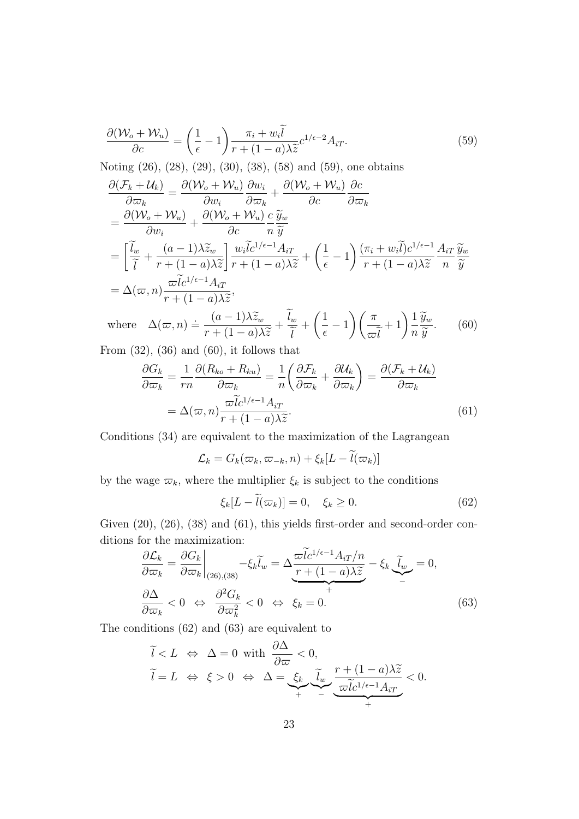$$
\frac{\partial(\mathcal{W}_o + \mathcal{W}_u)}{\partial c} = \left(\frac{1}{\epsilon} - 1\right) \frac{\pi_i + w_i \tilde{l}}{r + (1 - a)\lambda \tilde{z}} c^{1/\epsilon - 2} A_{iT}.
$$
\n(59)

Noting (26), (28), (29), (30), (38), (58) and (59), one obtains

$$
\frac{\partial(\mathcal{F}_k + \mathcal{U}_k)}{\partial \varpi_k} = \frac{\partial(\mathcal{W}_o + \mathcal{W}_u)}{\partial w_i} \frac{\partial w_i}{\partial \varpi_k} + \frac{\partial(\mathcal{W}_o + \mathcal{W}_u)}{\partial c} \frac{\partial c}{\partial \varpi_k} \n= \frac{\partial(\mathcal{W}_o + \mathcal{W}_u)}{\partial w_i} + \frac{\partial(\mathcal{W}_o + \mathcal{W}_u)}{\partial c} \frac{c}{n} \frac{\widetilde{y}_w}{\widetilde{y}} \n= \left[ \frac{\widetilde{l}_w}{\widetilde{l}} + \frac{(a-1)\lambda \widetilde{z}_w}{r + (1-a)\lambda \widetilde{z}} \right] \frac{w_i \widetilde{l} c^{1/\epsilon - 1} A_{iT}}{r + (1-a)\lambda \widetilde{z}} + \left( \frac{1}{\epsilon} - 1 \right) \frac{(\pi_i + w_i \widetilde{l}) c^{1/\epsilon - 1} A_{iT}}{r + (1-a)\lambda \widetilde{z}} \frac{\widetilde{y}_w}{n} \n= \Delta(\varpi, n) \frac{\varpi \widetilde{l} c^{1/\epsilon - 1} A_{iT}}{r + (1-a)\lambda \widetilde{z}},
$$
\n
$$
= \Delta(\varpi, n) \frac{\widetilde{w}}{r + (1-a)\lambda \widetilde{z}}, \qquad \widetilde{l}_w \leftarrow (1-a) \left( \pi_{w+1} \right) \frac{1}{\widetilde{y}_w} \tag{69}
$$

where 
$$
\Delta(\varpi, n) \doteq \frac{(a-1)\lambda \widetilde{z}_w}{r + (1-a)\lambda \widetilde{z}} + \frac{\widetilde{l}_w}{\widetilde{l}} + \left(\frac{1}{\epsilon} - 1\right) \left(\frac{\pi}{\varpi \widetilde{l}} + 1\right) \frac{1}{n} \frac{\widetilde{y}_w}{\widetilde{y}}.
$$
 (60)

From  $(32)$ ,  $(36)$  and  $(60)$ , it follows that

$$
\frac{\partial G_k}{\partial \overline{\omega}_k} = \frac{1}{rn} \frac{\partial (R_{ko} + R_{ku})}{\partial \overline{\omega}_k} = \frac{1}{n} \left( \frac{\partial \mathcal{F}_k}{\partial \overline{\omega}_k} + \frac{\partial \mathcal{U}_k}{\partial \overline{\omega}_k} \right) = \frac{\partial (\mathcal{F}_k + \mathcal{U}_k)}{\partial \overline{\omega}_k}
$$

$$
= \Delta(\overline{\omega}, n) \frac{\overline{\omega} \widetilde{l} c^{1/\epsilon - 1} A_{iT}}{r + (1 - a) \lambda \widetilde{z}}.
$$
(61)

Conditions (34) are equivalent to the maximization of the Lagrangean

$$
\mathcal{L}_k = G_k(\varpi_k, \varpi_{-k}, n) + \xi_k[L - \widetilde{l}(\varpi_k)]
$$

by the wage  $\varpi_k$ , where the multiplier  $\xi_k$  is subject to the conditions

$$
\xi_k[L - l(\varpi_k)] = 0, \quad \xi_k \ge 0. \tag{62}
$$

Given  $(20)$ ,  $(26)$ ,  $(38)$  and  $(61)$ , this yields first-order and second-order conditions for the maximization:

$$
\frac{\partial \mathcal{L}_k}{\partial \varpi_k} = \frac{\partial G_k}{\partial \varpi_k} \bigg|_{(26),(38)} - \xi_k \widetilde{l}_w = \Delta \frac{\varpi \widetilde{l} c^{1/\epsilon - 1} A_{iT}/n}{r + (1 - a)\lambda \widetilde{z}} - \xi_k \underbrace{\widetilde{l}_w}_{-} = 0,
$$
\n
$$
\frac{\partial \Delta}{\partial \varpi_k} < 0 \iff \frac{\partial^2 G_k}{\partial \varpi_k^2} < 0 \iff \xi_k = 0.
$$
\n
$$
(63)
$$

The conditions (62) and (63) are equivalent to

$$
\widetilde{l} < L \iff \Delta = 0 \text{ with } \frac{\partial \Delta}{\partial \varpi} < 0,
$$
\n
$$
\widetilde{l} = L \iff \xi > 0 \iff \Delta = \underbrace{\xi_k}_{+} \underbrace{\widetilde{l}_w}_{-} \underbrace{\widetilde{r} + (1 - a)\lambda \widetilde{z}}_{\varpi \widetilde{l}c^{1/\epsilon - 1} A_{iT}} < 0.
$$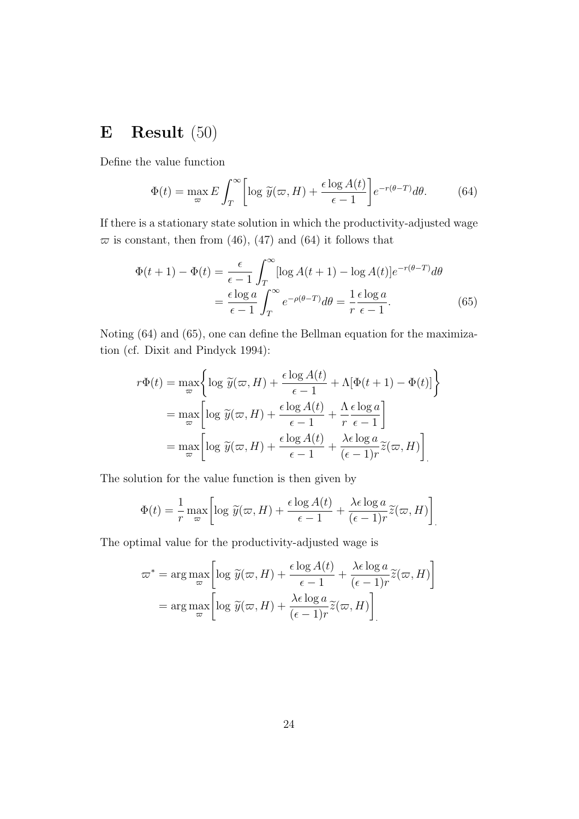# **E Result** (50)

Define the value function

$$
\Phi(t) = \max_{\varpi} E \int_{T}^{\infty} \left[ \log \tilde{y}(\varpi, H) + \frac{\epsilon \log A(t)}{\epsilon - 1} \right] e^{-r(\theta - T)} d\theta.
$$
 (64)

If there is a stationary state solution in which the productivity-adjusted wage  $\bar{\varpi}$  is constant, then from (46), (47) and (64) it follows that

$$
\Phi(t+1) - \Phi(t) = \frac{\epsilon}{\epsilon - 1} \int_{T}^{\infty} [\log A(t+1) - \log A(t)] e^{-r(\theta - T)} d\theta
$$

$$
= \frac{\epsilon \log a}{\epsilon - 1} \int_{T}^{\infty} e^{-\rho(\theta - T)} d\theta = \frac{1}{r} \frac{\epsilon \log a}{\epsilon - 1}.
$$
(65)

Noting (64) and (65), one can define the Bellman equation for the maximization (cf. Dixit and Pindyck 1994):

$$
r\Phi(t) = \max_{\varpi} \left\{ \log \widetilde{y}(\varpi, H) + \frac{\epsilon \log A(t)}{\epsilon - 1} + \Lambda[\Phi(t + 1) - \Phi(t)] \right\}
$$
  
= 
$$
\max_{\varpi} \left[ \log \widetilde{y}(\varpi, H) + \frac{\epsilon \log A(t)}{\epsilon - 1} + \frac{\Lambda \epsilon \log a}{r \epsilon - 1} \right]
$$
  
= 
$$
\max_{\varpi} \left[ \log \widetilde{y}(\varpi, H) + \frac{\epsilon \log A(t)}{\epsilon - 1} + \frac{\lambda \epsilon \log a}{(\epsilon - 1)r} \widetilde{z}(\varpi, H) \right]
$$

The solution for the value function is then given by

$$
\Phi(t) = \frac{1}{r} \max_{\varpi} \left[ \log \widetilde{y}(\varpi, H) + \frac{\epsilon \log A(t)}{\epsilon - 1} + \frac{\lambda \epsilon \log a}{(\epsilon - 1)r} \widetilde{z}(\varpi, H) \right]
$$

The optimal value for the productivity-adjusted wage is

$$
\varpi^* = \arg \max_{\varpi} \left[ \log \widetilde{y}(\varpi, H) + \frac{\epsilon \log A(t)}{\epsilon - 1} + \frac{\lambda \epsilon \log a}{(\epsilon - 1)r} \widetilde{z}(\varpi, H) \right]
$$

$$
= \arg \max_{\varpi} \left[ \log \widetilde{y}(\varpi, H) + \frac{\lambda \epsilon \log a}{(\epsilon - 1)r} \widetilde{z}(\varpi, H) \right]
$$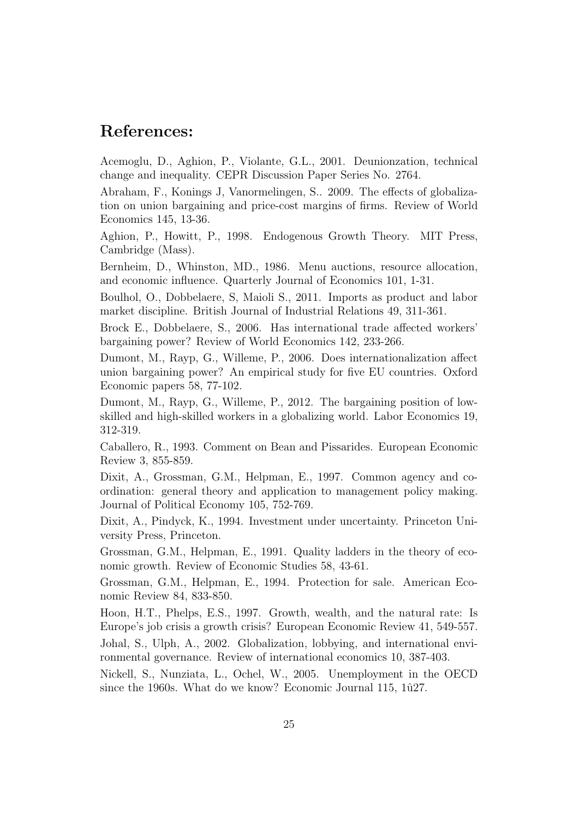## **References:**

Acemoglu, D., Aghion, P., Violante, G.L., 2001. Deunionzation, technical change and inequality. CEPR Discussion Paper Series No. 2764.

Abraham, F., Konings J, Vanormelingen, S.. 2009. The effects of globalization on union bargaining and price-cost margins of firms. Review of World Economics 145, 13-36.

Aghion, P., Howitt, P., 1998. Endogenous Growth Theory. MIT Press, Cambridge (Mass).

Bernheim, D., Whinston, MD., 1986. Menu auctions, resource allocation, and economic influence. Quarterly Journal of Economics 101, 1-31.

Boulhol, O., Dobbelaere, S, Maioli S., 2011. Imports as product and labor market discipline. British Journal of Industrial Relations 49, 311-361.

Brock E., Dobbelaere, S., 2006. Has international trade affected workers' bargaining power? Review of World Economics 142, 233-266.

Dumont, M., Rayp, G., Willeme, P., 2006. Does internationalization affect union bargaining power? An empirical study for five EU countries. Oxford Economic papers 58, 77-102.

Dumont, M., Rayp, G., Willeme, P., 2012. The bargaining position of lowskilled and high-skilled workers in a globalizing world. Labor Economics 19, 312-319.

Caballero, R., 1993. Comment on Bean and Pissarides. European Economic Review 3, 855-859.

Dixit, A., Grossman, G.M., Helpman, E., 1997. Common agency and coordination: general theory and application to management policy making. Journal of Political Economy 105, 752-769.

Dixit, A., Pindyck, K., 1994. Investment under uncertainty. Princeton University Press, Princeton.

Grossman, G.M., Helpman, E., 1991. Quality ladders in the theory of economic growth. Review of Economic Studies 58, 43-61.

Grossman, G.M., Helpman, E., 1994. Protection for sale. American Economic Review 84, 833-850.

Hoon, H.T., Phelps, E.S., 1997. Growth, wealth, and the natural rate: Is Europe's job crisis a growth crisis? European Economic Review 41, 549-557.

Johal, S., Ulph, A., 2002. Globalization, lobbying, and international environmental governance. Review of international economics 10, 387-403.

Nickell, S., Nunziata, L., Ochel, W., 2005. Unemployment in the OECD since the 1960s. What do we know? Economic Journal 115,  $1\hat{u}27$ .